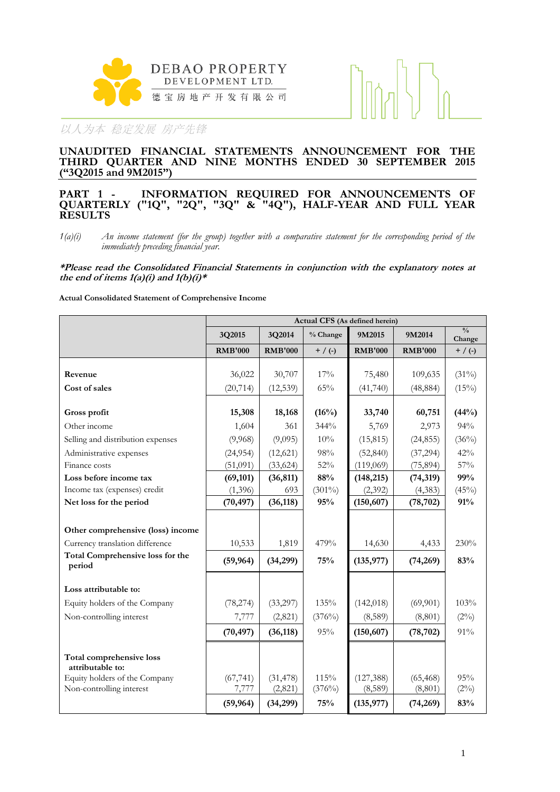



# **UNAUDITED FINANCIAL STATEMENTS ANNOUNCEMENT FOR THE THIRD QUARTER AND NINE MONTHS ENDED 30 SEPTEMBER 2015 ("3Q2015 and 9M2015")**

### **PART 1 - INFORMATION REQUIRED FOR ANNOUNCEMENTS OF QUARTERLY ("1Q", "2Q", "3Q" & "4Q"), HALF-YEAR AND FULL YEAR RESULTS**

*1(a)(i) An income statement (for the group) together with a comparative statement for the corresponding period of the immediately preceding financial year.*

**\*Please read the Consolidated Financial Statements in conjunction with the explanatory notes at**  the end of items  $1(a)(i)$  and  $1(b)(i)*$ 

**Actual Consolidated Statement of Comprehensive Income**

|                                                                            | Actual CFS (As defined herein) |                |           |                |                |                         |
|----------------------------------------------------------------------------|--------------------------------|----------------|-----------|----------------|----------------|-------------------------|
|                                                                            | 3Q2015                         | 3Q2014         | % Change  | 9M2015         | 9M2014         | $\frac{0}{0}$<br>Change |
|                                                                            | <b>RMB'000</b>                 | <b>RMB'000</b> | $+$ / (-) | <b>RMB'000</b> | <b>RMB'000</b> | $+$ / (-)               |
|                                                                            |                                |                |           |                |                |                         |
| Revenue                                                                    | 36,022                         | 30,707         | 17%       | 75,480         | 109,635        | $(31\%)$                |
| Cost of sales                                                              | (20, 714)                      | (12, 539)      | 65%       | (41, 740)      | (48, 884)      | (15%)                   |
| Gross profit                                                               | 15,308                         | 18,168         | (16%)     | 33,740         | 60,751         | (44%)                   |
| Other income                                                               | 1,604                          | 361            | 344%      | 5,769          | 2,973          | 94%                     |
| Selling and distribution expenses                                          | (9,968)                        | (9,095)        | 10%       | (15, 815)      | (24, 855)      | (36%)                   |
| Administrative expenses                                                    | (24, 954)                      | (12, 621)      | 98%       | (52, 840)      | (37, 294)      | 42%                     |
| Finance costs                                                              | (51,091)                       | (33, 624)      | 52%       | (119,069)      | (75, 894)      | 57%                     |
| Loss before income tax                                                     | (69, 101)                      | (36, 811)      | 88%       | (148, 215)     | (74, 319)      | 99%                     |
| Income tax (expenses) credit                                               | (1,396)                        | 693            | $(301\%)$ | (2, 392)       | (4,383)        | (45%)                   |
| Net loss for the period                                                    | (70, 497)                      | (36, 118)      | 95%       | (150, 607)     | (78, 702)      | 91%                     |
|                                                                            |                                |                |           |                |                |                         |
| Other comprehensive (loss) income                                          |                                |                |           |                |                |                         |
| Currency translation difference<br><b>Total Comprehensive loss for the</b> | 10,533                         | 1,819          | 479%      | 14,630         | 4,433          | 230%                    |
| period                                                                     | (59, 964)                      | (34,299)       | 75%       | (135, 977)     | (74, 269)      | 83%                     |
| Loss attributable to:                                                      |                                |                |           |                |                |                         |
| Equity holders of the Company                                              | (78, 274)                      | (33,297)       | 135%      | (142, 018)     | (69, 901)      | 103%                    |
| Non-controlling interest                                                   | 7,777                          | (2,821)        | (376%)    | (8,589)        | (8, 801)       | $(2\%)$                 |
|                                                                            | (70, 497)                      | (36, 118)      | 95%       | (150, 607)     | (78, 702)      | 91%                     |
| Total comprehensive loss<br>attributable to:                               |                                |                |           |                |                |                         |
| Equity holders of the Company                                              | (67, 741)                      | (31, 478)      | 115%      | (127, 388)     | (65, 468)      | 95%                     |
| Non-controlling interest                                                   | 7,777                          | (2,821)        | (376%)    | (8,589)        | (8, 801)       | $(2\%)$                 |
|                                                                            | (59, 964)                      | (34,299)       | 75%       | (135, 977)     | (74, 269)      | 83%                     |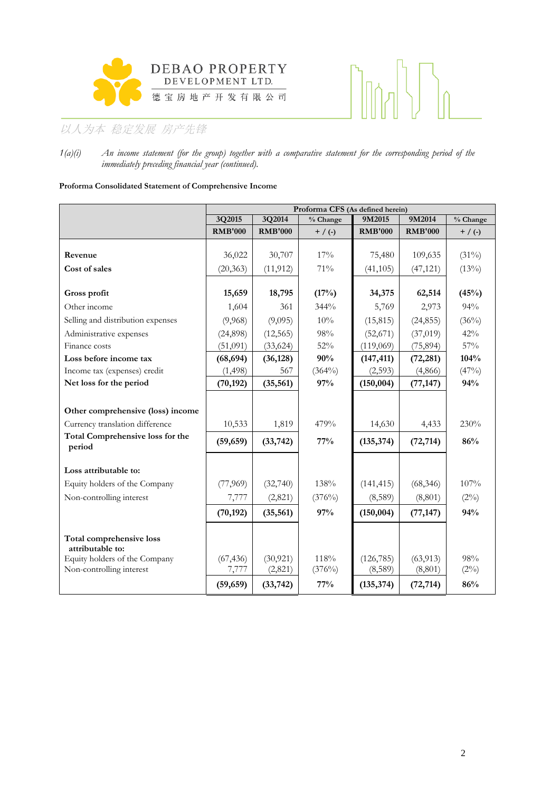



*1(a)(i) An income statement (for the group) together with a comparative statement for the corresponding period of the immediately preceding financial year (continued).*

### **Proforma Consolidated Statement of Comprehensive Income**

|                                                   | Proforma CFS (As defined herein) |                |           |                |                |                                |
|---------------------------------------------------|----------------------------------|----------------|-----------|----------------|----------------|--------------------------------|
|                                                   | 3Q2015                           | 3Q2014         | % Change  | 9M2015         | 9M2014         | $\sqrt[9]{\phantom{1}}$ Change |
|                                                   | <b>RMB'000</b>                   | <b>RMB'000</b> | $+$ / (-) | <b>RMB'000</b> | <b>RMB'000</b> | $+$ / (-)                      |
|                                                   |                                  |                |           |                |                |                                |
| Revenue                                           | 36,022                           | 30,707         | 17%       | 75,480         | 109,635        | $(31\%)$                       |
| Cost of sales                                     | (20, 363)                        | (11, 912)      | 71%       | (41, 105)      | (47, 121)      | (13%)                          |
| Gross profit                                      | 15,659                           | 18,795         | (17%)     | 34,375         | 62,514         | (45%)                          |
| Other income                                      | 1,604                            | 361            | 344%      | 5,769          | 2,973          | 94%                            |
| Selling and distribution expenses                 | (9,968)                          | (9,095)        | 10%       | (15, 815)      | (24, 855)      | (36%)                          |
| Administrative expenses                           | (24,898)                         | (12, 565)      | 98%       | (52, 671)      | (37, 019)      | 42%                            |
| Finance costs                                     | (51,091)                         | (33, 624)      | 52%       | (119,069)      | (75, 894)      | 57%                            |
| Loss before income tax                            | (68, 694)                        | (36, 128)      | 90%       | (147, 411)     | (72, 281)      | 104%                           |
| Income tax (expenses) credit                      | (1, 498)                         | 567            | $(364\%)$ | (2,593)        | (4,866)        | (47%)                          |
| Net loss for the period                           | (70, 192)                        | (35, 561)      | 97%       | (150, 004)     | (77, 147)      | 94%                            |
|                                                   |                                  |                |           |                |                |                                |
| Other comprehensive (loss) income                 |                                  |                |           |                |                |                                |
| Currency translation difference                   | 10,533                           | 1,819          | 479%      | 14,630         | 4,433          | 230%                           |
| <b>Total Comprehensive loss for the</b><br>period | (59, 659)                        | (33, 742)      | 77%       | (135, 374)     | (72, 714)      | 86%                            |
|                                                   |                                  |                |           |                |                |                                |
| Loss attributable to:                             |                                  |                |           |                |                |                                |
| Equity holders of the Company                     | (77,969)                         | (32,740)       | 138%      | (141, 415)     | (68, 346)      | 107%                           |
| Non-controlling interest                          | 7,777                            | (2,821)        | (376%)    | (8,589)        | (8, 801)       | $(2\%)$                        |
|                                                   | (70, 192)                        | (35, 561)      | 97%       | (150, 004)     | (77, 147)      | 94%                            |
|                                                   |                                  |                |           |                |                |                                |
| Total comprehensive loss<br>attributable to:      |                                  |                |           |                |                |                                |
| Equity holders of the Company                     | (67, 436)                        | (30, 921)      | 118%      | (126, 785)     | (63, 913)      | 98%                            |
| Non-controlling interest                          | 7,777                            | (2,821)        | (376%)    | (8,589)        | (8,801)        | $(2\%)$                        |
|                                                   | (59, 659)                        | (33, 742)      | 77%       | (135, 374)     | (72, 714)      | 86%                            |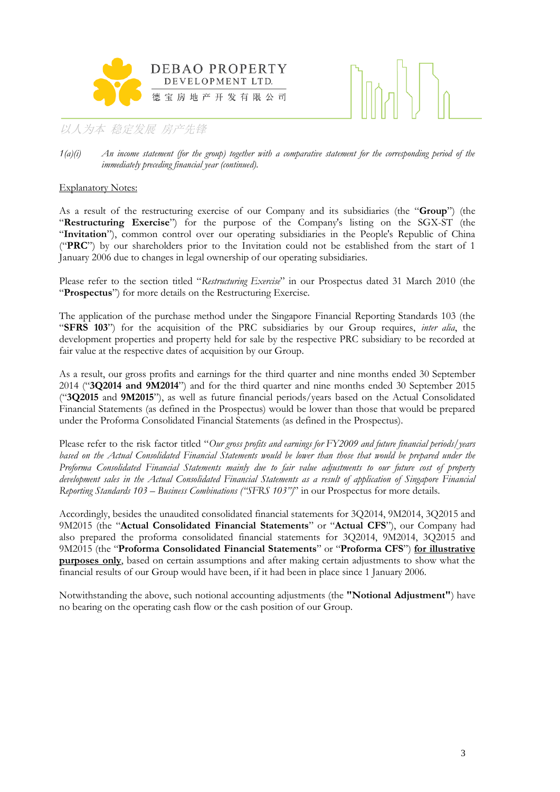



# Explanatory Notes:

As a result of the restructuring exercise of our Company and its subsidiaries (the "**Group**") (the "**Restructuring Exercise**") for the purpose of the Company's listing on the SGX-ST (the "**Invitation**"), common control over our operating subsidiaries in the People's Republic of China ("**PRC**") by our shareholders prior to the Invitation could not be established from the start of 1 January 2006 due to changes in legal ownership of our operating subsidiaries.

Please refer to the section titled "*Restructuring Exercise*" in our Prospectus dated 31 March 2010 (the "**Prospectus**") for more details on the Restructuring Exercise.

The application of the purchase method under the Singapore Financial Reporting Standards 103 (the "**SFRS 103**") for the acquisition of the PRC subsidiaries by our Group requires, *inter alia*, the development properties and property held for sale by the respective PRC subsidiary to be recorded at fair value at the respective dates of acquisition by our Group.

As a result, our gross profits and earnings for the third quarter and nine months ended 30 September 2014 ("**3Q2014 and 9M2014**") and for the third quarter and nine months ended 30 September 2015 ("**3Q2015** and **9M2015**"), as well as future financial periods/years based on the Actual Consolidated Financial Statements (as defined in the Prospectus) would be lower than those that would be prepared under the Proforma Consolidated Financial Statements (as defined in the Prospectus).

Please refer to the risk factor titled "*Our gross profits and earnings for FY2009 and future financial periods/years based on the Actual Consolidated Financial Statements would be lower than those that would be prepared under the Proforma Consolidated Financial Statements mainly due to fair value adjustments to our future cost of property development sales in the Actual Consolidated Financial Statements as a result of application of Singapore Financial Reporting Standards 103 – Business Combinations ("SFRS 103")*" in our Prospectus for more details.

Accordingly, besides the unaudited consolidated financial statements for 3Q2014, 9M2014, 3Q2015 and 9M2015 (the "**Actual Consolidated Financial Statements**" or "**Actual CFS**"), our Company had also prepared the proforma consolidated financial statements for 3Q2014, 9M2014, 3Q2015 and 9M2015 (the "**Proforma Consolidated Financial Statements**" or "**Proforma CFS**") **for illustrative purposes only**, based on certain assumptions and after making certain adjustments to show what the financial results of our Group would have been, if it had been in place since 1 January 2006.

Notwithstanding the above, such notional accounting adjustments (the **"Notional Adjustment"**) have no bearing on the operating cash flow or the cash position of our Group.

*<sup>1(</sup>a)(i) An income statement (for the group) together with a comparative statement for the corresponding period of the immediately preceding financial year (continued).*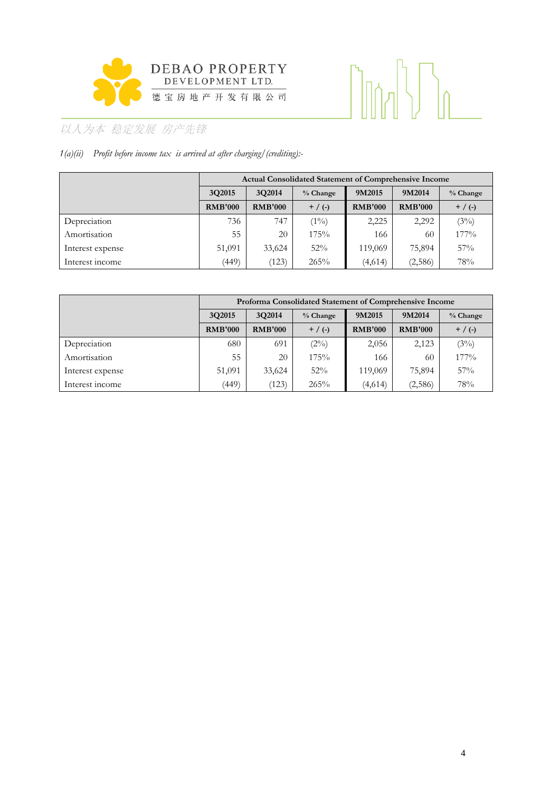

# 

# 以人为本 稳定发展 房产先锋

# *1(a)(ii) Profit before income tax is arrived at after charging/(crediting):-*

|                  | <b>Actual Consolidated Statement of Comprehensive Income</b> |                    |           |                  |                |            |  |  |
|------------------|--------------------------------------------------------------|--------------------|-----------|------------------|----------------|------------|--|--|
|                  | 3Q2015                                                       | 3Q2014<br>% Change |           | 9M2015<br>9M2014 |                | $%$ Change |  |  |
|                  | <b>RMB'000</b>                                               | <b>RMB'000</b>     | $+$ / (-) | <b>RMB'000</b>   | <b>RMB'000</b> | $+$ / (-)  |  |  |
| Depreciation     | 736                                                          | 747                | $(1\%)$   | 2,225            | 2,292          | (3%)       |  |  |
| Amortisation     | 55                                                           | 20                 | 175%      | 166              | 60             | 177%       |  |  |
| Interest expense | 51,091                                                       | 33,624             | 52%       | 119,069          | 75,894         | 57%        |  |  |
| Interest income  | (449)                                                        | (123)              | 265%      | (4,614)          | (2,586)        | 78%        |  |  |

|                  | Proforma Consolidated Statement of Comprehensive Income |                |            |                |                |            |  |  |
|------------------|---------------------------------------------------------|----------------|------------|----------------|----------------|------------|--|--|
|                  | 3Q2015<br>3Q2014                                        |                | $%$ Change | 9M2015         | 9M2014         | $%$ Change |  |  |
|                  | <b>RMB'000</b>                                          | <b>RMB'000</b> | $+$ / (-)  | <b>RMB'000</b> | <b>RMB'000</b> | $+$ / (-)  |  |  |
| Depreciation     | 680                                                     | 691            | $(2\%)$    | 2,056          | 2,123          | (3%)       |  |  |
| Amortisation     | 55                                                      | 20             | 175%       | 166            | 60             | $177\%$    |  |  |
| Interest expense | 51,091                                                  | 33,624         | 52%        | 119,069        | 75,894         | 57%        |  |  |
| Interest income  | (449)                                                   | (123)          | 265%       | (4,614)        | (2,586)        | 78%        |  |  |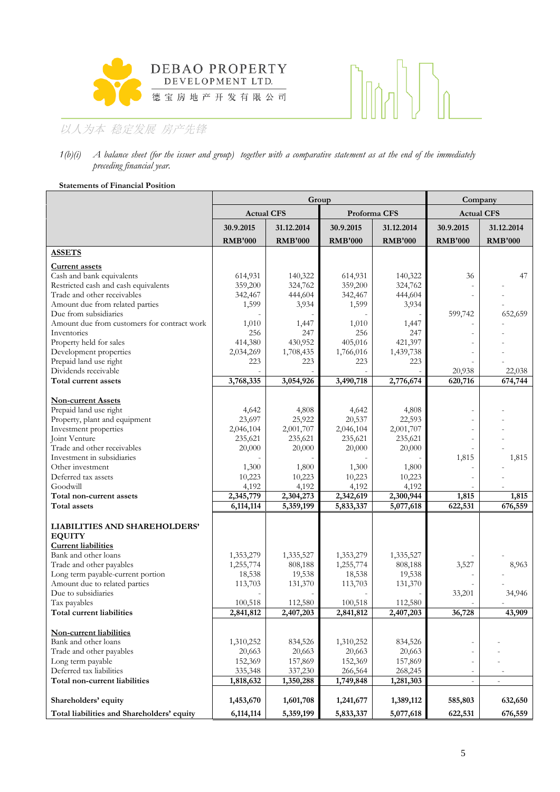

# $\bigcap_{n\in\mathbb{N}}$  $\mathcal{L}_{\mathcal{A}}$

# 以人为本 稳定发展 房产先锋

### *1(b)(i) A balance sheet (for the issuer and group) together with a comparative statement as at the end of the immediately preceding financial year.*

### **Statements of Financial Position**

|                                              |                   | Group          | Company        |                |                   |                |
|----------------------------------------------|-------------------|----------------|----------------|----------------|-------------------|----------------|
|                                              | <b>Actual CFS</b> |                | Proforma CFS   |                | <b>Actual CFS</b> |                |
|                                              | 30.9.2015         | 31.12.2014     | 30.9.2015      | 31.12.2014     | 30.9.2015         | 31.12.2014     |
|                                              | <b>RMB'000</b>    | <b>RMB'000</b> | <b>RMB'000</b> | <b>RMB'000</b> | <b>RMB'000</b>    | <b>RMB'000</b> |
| <b>ASSETS</b>                                |                   |                |                |                |                   |                |
| <b>Current assets</b>                        |                   |                |                |                |                   |                |
| Cash and bank equivalents                    | 614,931           | 140,322        | 614,931        | 140,322        | 36                | 47             |
| Restricted cash and cash equivalents         | 359,200           | 324,762        | 359,200        | 324,762        |                   |                |
| Trade and other receivables                  | 342,467           | 444,604        | 342,467        | 444,604        |                   |                |
| Amount due from related parties              | 1,599             | 3,934          | 1,599          | 3,934          |                   |                |
| Due from subsidiaries                        |                   |                |                |                | 599,742           | 652,659        |
| Amount due from customers for contract work  | 1,010             | 1,447          | 1,010          | 1,447          |                   |                |
| Inventories                                  | 256               | 247            | 256            | 247            |                   |                |
| Property held for sales                      | 414,380           | 430,952        | 405,016        | 421,397        |                   |                |
| Development properties                       | 2,034,269         | 1,708,435      | 1,766,016      | 1,439,738      |                   |                |
| Prepaid land use right                       | 223               | 223            | 223            | 223            |                   |                |
| Dividends receivable<br>Total current assets |                   |                |                |                | 20,938            | 22,038         |
|                                              | 3,768,335         | 3,054,926      | 3,490,718      | 2,776,674      | 620,716           | 674,744        |
| <b>Non-current Assets</b>                    |                   |                |                |                |                   |                |
| Prepaid land use right                       | 4,642             | 4,808          | 4,642          | 4,808          |                   |                |
| Property, plant and equipment                | 23,697            | 25,922         | 20,537         | 22,593         |                   |                |
| Investment properties                        | 2,046,104         | 2,001,707      | 2,046,104      | 2,001,707      |                   |                |
| Joint Venture                                | 235,621           | 235,621        | 235,621        | 235,621        |                   |                |
| Trade and other receivables                  | 20,000            | 20,000         | 20,000         | 20,000         |                   |                |
| Investment in subsidiaries                   |                   |                |                |                | 1,815             | 1,815          |
| Other investment                             | 1,300             | 1,800          | 1,300          | 1,800          |                   |                |
| Deferred tax assets                          | 10,223            | 10,223         | 10,223         | 10,223         |                   |                |
| Goodwill                                     | 4,192             | 4,192          | 4,192          | 4,192          |                   |                |
| Total non-current assets                     | 2,345,779         | 2,304,273      | 2,342,619      | 2,300,944      | 1,815             | 1,815          |
| Total assets                                 | 6,114,114         | 5,359,199      | 5,833,337      | 5,077,618      | 622,531           | 676,559        |
|                                              |                   |                |                |                |                   |                |
| LIABILITIES AND SHAREHOLDERS'                |                   |                |                |                |                   |                |
| <b>EQUITY</b><br><b>Current liabilities</b>  |                   |                |                |                |                   |                |
| Bank and other loans                         | 1,353,279         | 1,335,527      | 1,353,279      | 1,335,527      |                   |                |
| Trade and other payables                     | 1,255,774         | 808,188        | 1,255,774      | 808,188        | 3,527             | 8,963          |
| Long term payable-current portion            | 18,538            | 19,538         | 18,538         | 19,538         |                   |                |
| Amount due to related parties                | 113,703           | 131,370        | 113,703        | 131,370        |                   |                |
| Due to subsidiaries                          |                   |                |                |                | 33,201            | 34,946         |
| Tax payables                                 | 100,518           | 112,580        | 100,518        | 112,580        |                   |                |
| Total current liabilities                    | 2,841,812         | 2.407.203      | 2.841.812      | 2.407.203      | 36,728            | 43,909         |
|                                              |                   |                |                |                |                   |                |
| Non-current liabilities                      |                   |                |                |                |                   |                |
| Bank and other loans                         | 1,310,252         | 834,526        | 1,310,252      | 834,526        |                   |                |
| Trade and other payables                     | 20,663            | 20,663         | 20,663         | 20,663         |                   |                |
| Long term payable                            | 152,369           | 157,869        | 152,369        | 157,869        |                   |                |
| Deferred tax liabilities                     | 335,348           | 337,230        | 266,564        | 268,245        |                   |                |
| Total non-current liabilities                | 1,818,632         | 1,350,288      | 1,749,848      | 1,281,303      | $\overline{a}$    |                |
| Shareholders' equity                         | 1,453,670         | 1,601,708      | 1,241,677      | 1,389,112      | 585,803           | 632,650        |
| Total liabilities and Shareholders' equity   | 6,114,114         | 5,359,199      | 5,833,337      | 5,077,618      | 622,531           | 676,559        |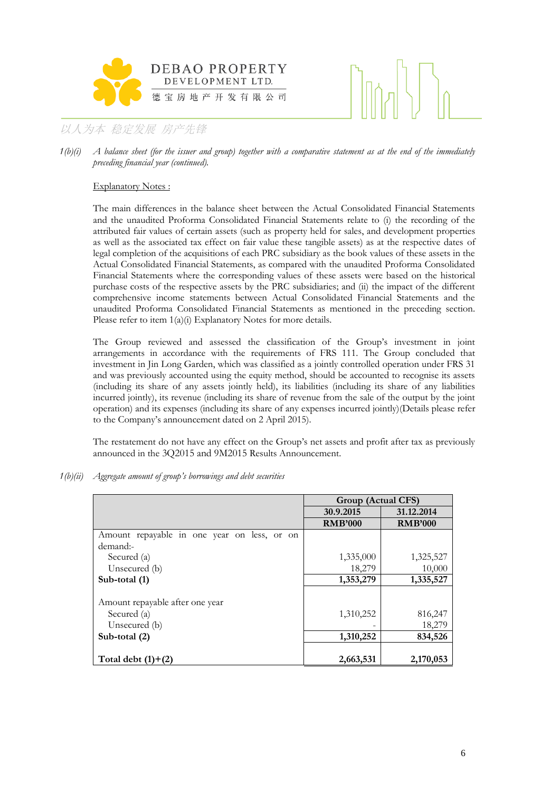



*1(b)(i) A balance sheet (for the issuer and group) together with a comparative statement as at the end of the immediately preceding financial year (continued).*

### Explanatory Notes :

The main differences in the balance sheet between the Actual Consolidated Financial Statements and the unaudited Proforma Consolidated Financial Statements relate to (i) the recording of the attributed fair values of certain assets (such as property held for sales, and development properties as well as the associated tax effect on fair value these tangible assets) as at the respective dates of legal completion of the acquisitions of each PRC subsidiary as the book values of these assets in the Actual Consolidated Financial Statements, as compared with the unaudited Proforma Consolidated Financial Statements where the corresponding values of these assets were based on the historical purchase costs of the respective assets by the PRC subsidiaries; and (ii) the impact of the different comprehensive income statements between Actual Consolidated Financial Statements and the unaudited Proforma Consolidated Financial Statements as mentioned in the preceding section. Please refer to item  $1(a)(i)$  Explanatory Notes for more details.

The Group reviewed and assessed the classification of the Group's investment in joint arrangements in accordance with the requirements of FRS 111. The Group concluded that investment in Jin Long Garden, which was classified as a jointly controlled operation under FRS 31 and was previously accounted using the equity method, should be accounted to recognise its assets (including its share of any assets jointly held), its liabilities (including its share of any liabilities incurred jointly), its revenue (including its share of revenue from the sale of the output by the joint operation) and its expenses (including its share of any expenses incurred jointly)(Details please refer to the Company's announcement dated on 2 April 2015).

The restatement do not have any effect on the Group's net assets and profit after tax as previously announced in the 3Q2015 and 9M2015 Results Announcement.

*1(b)(ii) Aggregate amount of group's borrowings and debt securities* 

|                                             | Group (Actual CFS) |                |
|---------------------------------------------|--------------------|----------------|
|                                             | 30.9.2015          | 31.12.2014     |
|                                             | <b>RMB'000</b>     | <b>RMB'000</b> |
| Amount repayable in one year on less, or on |                    |                |
| demand:-                                    |                    |                |
| Secured (a)                                 | 1,335,000          | 1,325,527      |
| Unsecured (b)                               | 18,279             | 10,000         |
| Sub-total (1)                               | 1,353,279          | 1,335,527      |
|                                             |                    |                |
| Amount repayable after one year             |                    |                |
| Secured (a)                                 | 1,310,252          | 816,247        |
| Unsecured (b)                               |                    | 18,279         |
| Sub-total (2)                               | 1,310,252          | 834,526        |
|                                             |                    |                |
| Total debt $(1)+(2)$                        | 2,663,531          | 2,170,053      |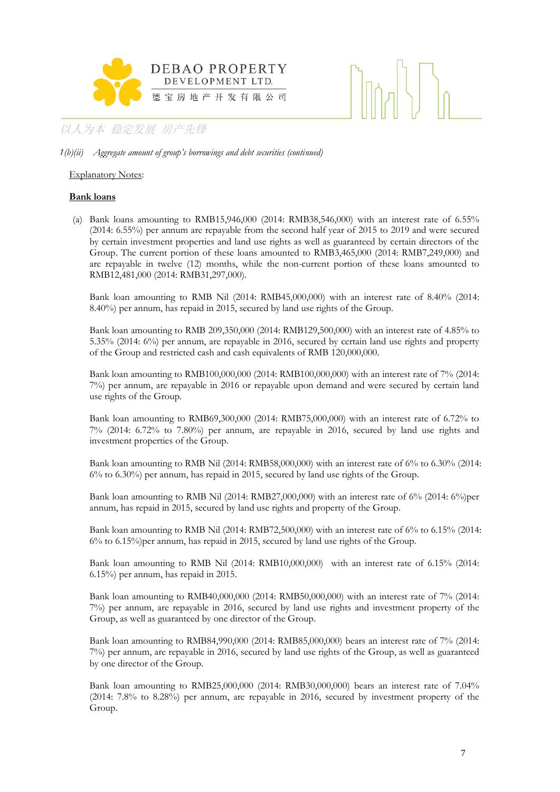

### *1(b)(ii) Aggregate amount of group's borrowings and debt securities (continued)*

### Explanatory Notes:

### **Bank loans**

(a) Bank loans amounting to RMB15,946,000 (2014: RMB38,546,000) with an interest rate of 6.55% (2014: 6.55%) per annum are repayable from the second half year of 2015 to 2019 and were secured by certain investment properties and land use rights as well as guaranteed by certain directors of the Group. The current portion of these loans amounted to RMB3,465,000 (2014: RMB7,249,000) and are repayable in twelve (12) months, while the non-current portion of these loans amounted to RMB12,481,000 (2014: RMB31,297,000).

Bank loan amounting to RMB Nil (2014: RMB45,000,000) with an interest rate of 8.40% (2014: 8.40%) per annum, has repaid in 2015, secured by land use rights of the Group.

Bank loan amounting to RMB 209,350,000 (2014: RMB129,500,000) with an interest rate of 4.85% to 5.35% (2014: 6%) per annum, are repayable in 2016, secured by certain land use rights and property of the Group and restricted cash and cash equivalents of RMB 120,000,000.

Bank loan amounting to RMB100,000,000 (2014: RMB100,000,000) with an interest rate of 7% (2014: 7%) per annum, are repayable in 2016 or repayable upon demand and were secured by certain land use rights of the Group.

Bank loan amounting to RMB69,300,000 (2014: RMB75,000,000) with an interest rate of 6.72% to 7% (2014: 6.72% to 7.80%) per annum, are repayable in 2016, secured by land use rights and investment properties of the Group.

Bank loan amounting to RMB Nil (2014: RMB58,000,000) with an interest rate of 6% to 6.30% (2014: 6% to 6.30%) per annum, has repaid in 2015, secured by land use rights of the Group.

Bank loan amounting to RMB Nil (2014: RMB27,000,000) with an interest rate of  $6\%$  (2014:  $6\%$ )per annum, has repaid in 2015, secured by land use rights and property of the Group.

Bank loan amounting to RMB Nil (2014: RMB72,500,000) with an interest rate of 6% to 6.15% (2014: 6% to 6.15%)per annum, has repaid in 2015, secured by land use rights of the Group.

Bank loan amounting to RMB Nil (2014: RMB10,000,000) with an interest rate of 6.15% (2014: 6.15%) per annum, has repaid in 2015.

Bank loan amounting to RMB40,000,000 (2014: RMB50,000,000) with an interest rate of 7% (2014: 7%) per annum, are repayable in 2016, secured by land use rights and investment property of the Group, as well as guaranteed by one director of the Group.

Bank loan amounting to RMB84,990,000 (2014: RMB85,000,000) bears an interest rate of 7% (2014: 7%) per annum, are repayable in 2016, secured by land use rights of the Group, as well as guaranteed by one director of the Group.

Bank loan amounting to RMB25,000,000 (2014: RMB30,000,000) bears an interest rate of 7.04% (2014: 7.8% to 8.28%) per annum, are repayable in 2016, secured by investment property of the Group.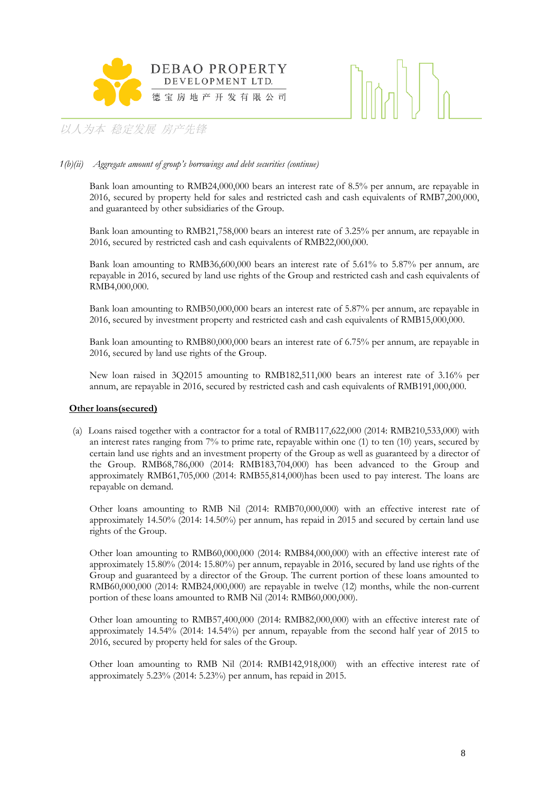



### *1(b)(ii) Aggregate amount of group's borrowings and debt securities (continue)*

Bank loan amounting to RMB24,000,000 bears an interest rate of 8.5% per annum, are repayable in 2016, secured by property held for sales and restricted cash and cash equivalents of RMB7,200,000, and guaranteed by other subsidiaries of the Group.

Bank loan amounting to RMB21,758,000 bears an interest rate of 3.25% per annum, are repayable in 2016, secured by restricted cash and cash equivalents of RMB22,000,000.

Bank loan amounting to RMB36,600,000 bears an interest rate of 5.61% to 5.87% per annum, are repayable in 2016, secured by land use rights of the Group and restricted cash and cash equivalents of RMB4,000,000.

Bank loan amounting to RMB50,000,000 bears an interest rate of 5.87% per annum, are repayable in 2016, secured by investment property and restricted cash and cash equivalents of RMB15,000,000.

Bank loan amounting to RMB80,000,000 bears an interest rate of 6.75% per annum, are repayable in 2016, secured by land use rights of the Group.

New loan raised in 3Q2015 amounting to RMB182,511,000 bears an interest rate of 3.16% per annum, are repayable in 2016, secured by restricted cash and cash equivalents of RMB191,000,000.

### **Other loans(secured)**

(a) Loans raised together with a contractor for a total of RMB117,622,000 (2014: RMB210,533,000) with an interest rates ranging from 7% to prime rate, repayable within one (1) to ten (10) years, secured by certain land use rights and an investment property of the Group as well as guaranteed by a director of the Group. RMB68,786,000 (2014: RMB183,704,000) has been advanced to the Group and approximately RMB61,705,000 (2014: RMB55,814,000)has been used to pay interest. The loans are repayable on demand.

Other loans amounting to RMB Nil (2014: RMB70,000,000) with an effective interest rate of approximately 14.50% (2014: 14.50%) per annum, has repaid in 2015 and secured by certain land use rights of the Group.

Other loan amounting to RMB60,000,000 (2014: RMB84,000,000) with an effective interest rate of approximately 15.80% (2014: 15.80%) per annum, repayable in 2016, secured by land use rights of the Group and guaranteed by a director of the Group. The current portion of these loans amounted to RMB60,000,000 (2014: RMB24,000,000) are repayable in twelve (12) months, while the non-current portion of these loans amounted to RMB Nil (2014: RMB60,000,000).

Other loan amounting to RMB57,400,000 (2014: RMB82,000,000) with an effective interest rate of approximately 14.54% (2014: 14.54%) per annum, repayable from the second half year of 2015 to 2016, secured by property held for sales of the Group.

Other loan amounting to RMB Nil (2014: RMB142,918,000) with an effective interest rate of approximately 5.23% (2014: 5.23%) per annum, has repaid in 2015.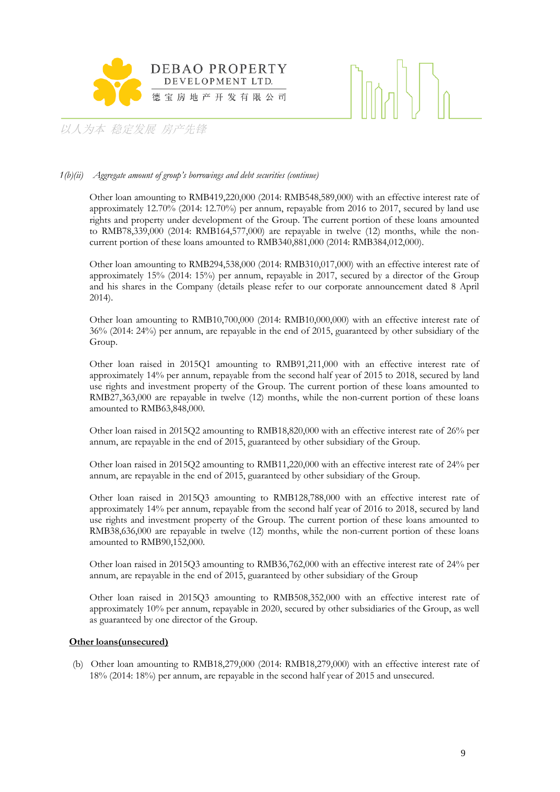



### *1(b)(ii) Aggregate amount of group's borrowings and debt securities (continue)*

Other loan amounting to RMB419,220,000 (2014: RMB548,589,000) with an effective interest rate of approximately 12.70% (2014: 12.70%) per annum, repayable from 2016 to 2017, secured by land use rights and property under development of the Group. The current portion of these loans amounted to RMB78,339,000 (2014: RMB164,577,000) are repayable in twelve (12) months, while the noncurrent portion of these loans amounted to RMB340,881,000 (2014: RMB384,012,000).

Other loan amounting to RMB294,538,000 (2014: RMB310,017,000) with an effective interest rate of approximately 15% (2014: 15%) per annum, repayable in 2017, secured by a director of the Group and his shares in the Company (details please refer to our corporate announcement dated 8 April 2014).

Other loan amounting to RMB10,700,000 (2014: RMB10,000,000) with an effective interest rate of 36% (2014: 24%) per annum, are repayable in the end of 2015, guaranteed by other subsidiary of the Group.

Other loan raised in 2015Q1 amounting to RMB91,211,000 with an effective interest rate of approximately 14% per annum, repayable from the second half year of 2015 to 2018, secured by land use rights and investment property of the Group. The current portion of these loans amounted to RMB27,363,000 are repayable in twelve (12) months, while the non-current portion of these loans amounted to RMB63,848,000.

Other loan raised in 2015Q2 amounting to RMB18,820,000 with an effective interest rate of 26% per annum, are repayable in the end of 2015, guaranteed by other subsidiary of the Group.

Other loan raised in 2015Q2 amounting to RMB11,220,000 with an effective interest rate of 24% per annum, are repayable in the end of 2015, guaranteed by other subsidiary of the Group.

Other loan raised in 2015Q3 amounting to RMB128,788,000 with an effective interest rate of approximately 14% per annum, repayable from the second half year of 2016 to 2018, secured by land use rights and investment property of the Group. The current portion of these loans amounted to RMB38,636,000 are repayable in twelve (12) months, while the non-current portion of these loans amounted to RMB90,152,000.

Other loan raised in 2015Q3 amounting to RMB36,762,000 with an effective interest rate of 24% per annum, are repayable in the end of 2015, guaranteed by other subsidiary of the Group

Other loan raised in 2015Q3 amounting to RMB508,352,000 with an effective interest rate of approximately 10% per annum, repayable in 2020, secured by other subsidiaries of the Group, as well as guaranteed by one director of the Group.

### **Other loans(unsecured)**

(b) Other loan amounting to RMB18,279,000 (2014: RMB18,279,000) with an effective interest rate of 18% (2014: 18%) per annum, are repayable in the second half year of 2015 and unsecured.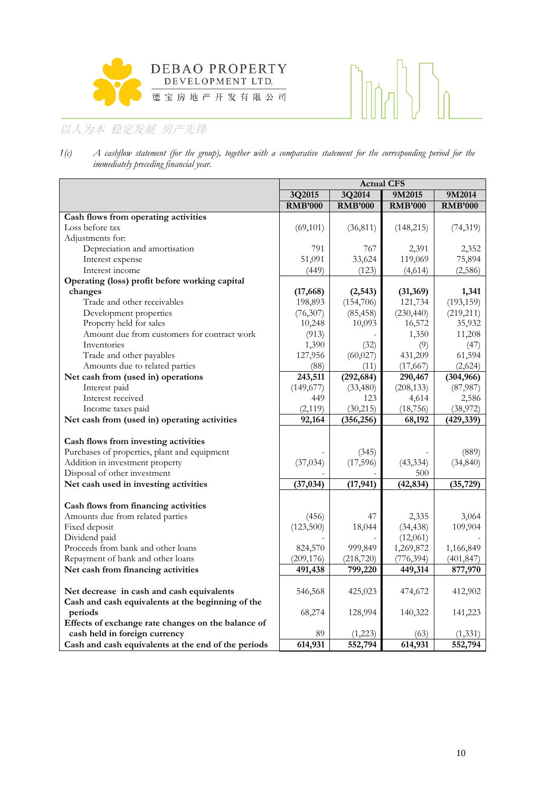



*1(c) A cashflow statement (for the group), together with a comparative statement for the corresponding period for the immediately preceding financial year.*

|                                                     | <b>Actual CFS</b> |                |                |                |  |
|-----------------------------------------------------|-------------------|----------------|----------------|----------------|--|
|                                                     | 3Q2015            | 3Q2014         | 9M2015         | 9M2014         |  |
|                                                     | <b>RMB'000</b>    | <b>RMB'000</b> | <b>RMB'000</b> | <b>RMB'000</b> |  |
| Cash flows from operating activities                |                   |                |                |                |  |
| Loss before tax                                     | (69, 101)         | (36, 811)      | (148, 215)     | (74, 319)      |  |
| Adjustments for:                                    |                   |                |                |                |  |
| Depreciation and amortisation                       | 791               | 767            | 2,391          | 2,352          |  |
| Interest expense                                    | 51,091            | 33,624         | 119,069        | 75,894         |  |
| Interest income                                     | (449)             | (123)          | (4,614)        | (2,586)        |  |
| Operating (loss) profit before working capital      |                   |                |                |                |  |
| changes                                             | (17, 668)         | (2, 543)       | (31, 369)      | 1,341          |  |
| Trade and other receivables                         | 198,893           | (154, 706)     | 121,734        | (193, 159)     |  |
| Development properties                              | (76, 307)         | (85, 458)      | (230, 440)     | (219, 211)     |  |
| Property held for sales                             | 10,248            | 10,093         | 16,572         | 35,932         |  |
| Amount due from customers for contract work         | (913)             |                | 1,350          | 11,208         |  |
| Inventories                                         | 1,390             | (32)           | (9)            | (47)           |  |
| Trade and other payables                            | 127,956           | (60, 027)      | 431,209        | 61,594         |  |
| Amounts due to related parties                      | (88)              | (11)           | (17, 667)      | (2,624)        |  |
| Net cash from (used in) operations                  | 243,511           | (292, 684)     | 290,467        | (304, 966)     |  |
| Interest paid                                       | (149, 677)        | (33,480)       | (208, 133)     | (87,987)       |  |
| Interest received                                   | 449               | 123            | 4,614          | 2,586          |  |
| Income taxes paid                                   | (2, 119)          | (30, 215)      | (18, 756)      | (38,972)       |  |
| Net cash from (used in) operating activities        | 92,164            | (356, 256)     | 68,192         | (429, 339)     |  |
|                                                     |                   |                |                |                |  |
| Cash flows from investing activities                |                   |                |                |                |  |
| Purchases of properties, plant and equipment        |                   | (345)          |                | (889)          |  |
| Addition in investment property                     | (37, 034)         | (17, 596)      | (43, 334)      | (34, 840)      |  |
| Disposal of other investment                        |                   |                | 500            |                |  |
| Net cash used in investing activities               | (37, 034)         | (17, 941)      | (42, 834)      | (35, 729)      |  |
|                                                     |                   |                |                |                |  |
| Cash flows from financing activities                |                   |                |                |                |  |
| Amounts due from related parties                    | (456)             | 47             | 2,335          | 3,064          |  |
| Fixed deposit                                       | (123,500)         | 18,044         | (34, 438)      | 109,904        |  |
| Dividend paid                                       |                   |                | (12,061)       |                |  |
| Proceeds from bank and other loans                  | 824,570           | 999,849        | 1,269,872      | 1,166,849      |  |
| Repayment of bank and other loans                   | (209, 176)        | (218, 720)     | (776, 394)     | (401, 847)     |  |
| Net cash from financing activities                  | 491,438           | 799,220        | 449,314        | 877,970        |  |
|                                                     |                   |                |                |                |  |
| Net decrease in cash and cash equivalents           | 546,568           | 425,023        | 474,672        | 412,902        |  |
| Cash and cash equivalents at the beginning of the   |                   |                |                |                |  |
| periods                                             | 68,274            | 128,994        | 140,322        | 141,223        |  |
| Effects of exchange rate changes on the balance of  |                   |                |                |                |  |
| cash held in foreign currency                       | 89                | (1,223)        | (63)           | (1, 331)       |  |
| Cash and cash equivalents at the end of the periods | 614,931           | 552,794        | 614,931        | 552,794        |  |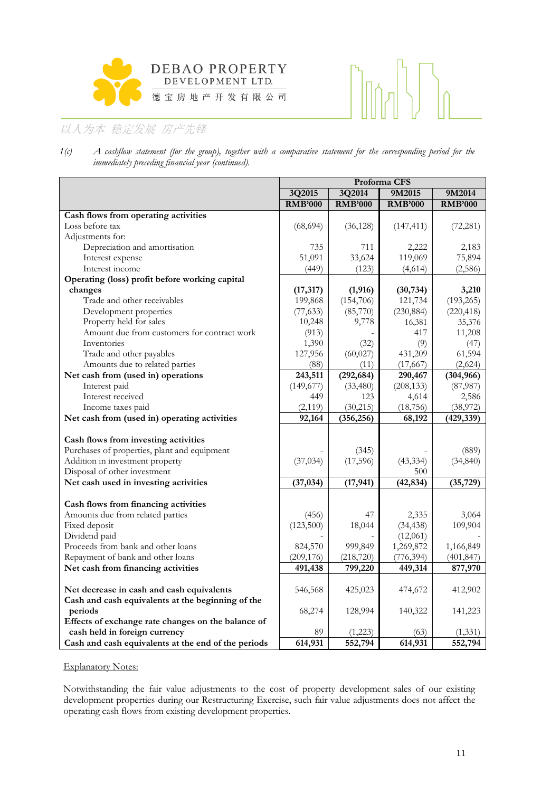



*1(c) A cashflow statement (for the group), together with a comparative statement for the corresponding period for the immediately preceding financial year (continued).*

|                                                     | Proforma CFS   |                |                |                |  |  |
|-----------------------------------------------------|----------------|----------------|----------------|----------------|--|--|
|                                                     | 3Q2015         | 3Q2014         | 9M2015         | 9M2014         |  |  |
|                                                     | <b>RMB'000</b> | <b>RMB'000</b> | <b>RMB'000</b> | <b>RMB'000</b> |  |  |
| Cash flows from operating activities                |                |                |                |                |  |  |
| Loss before tax                                     | (68, 694)      | (36, 128)      | (147, 411)     | (72, 281)      |  |  |
| Adjustments for:                                    |                |                |                |                |  |  |
| Depreciation and amortisation                       | 735            | 711            | 2,222          | 2,183          |  |  |
| Interest expense                                    | 51,091         | 33,624         | 119,069        | 75,894         |  |  |
| Interest income                                     | (449)          | (123)          | (4,614)        | (2,586)        |  |  |
| Operating (loss) profit before working capital      |                |                |                |                |  |  |
| changes                                             | (17, 317)      | (1, 916)       | (30, 734)      | 3,210          |  |  |
| Trade and other receivables                         | 199,868        | (154,706)      | 121,734        | (193, 265)     |  |  |
| Development properties                              | (77, 633)      | (85,770)       | (230, 884)     | (220, 418)     |  |  |
| Property held for sales                             | 10,248         | 9,778          | 16,381         | 35,376         |  |  |
| Amount due from customers for contract work         | (913)          |                | 417            | 11,208         |  |  |
| Inventories                                         | 1,390          | (32)           | (9)            | (47)           |  |  |
| Trade and other payables                            | 127,956        | (60, 027)      | 431,209        | 61,594         |  |  |
| Amounts due to related parties                      | (88)           | (11)           | (17, 667)      | (2,624)        |  |  |
| Net cash from (used in) operations                  | 243,511        | (292, 684)     | 290,467        | (304, 966)     |  |  |
| Interest paid                                       | (149, 677)     | (33, 480)      | (208, 133)     | (87, 987)      |  |  |
| Interest received                                   | 449            | 123            | 4,614          | 2,586          |  |  |
| Income taxes paid                                   | (2, 119)       | (30, 215)      | (18, 756)      | (38,972)       |  |  |
| Net cash from (used in) operating activities        | 92,164         | (356, 256)     | 68,192         | (429, 339)     |  |  |
|                                                     |                |                |                |                |  |  |
| Cash flows from investing activities                |                |                |                |                |  |  |
| Purchases of properties, plant and equipment        |                | (345)          |                | (889)          |  |  |
| Addition in investment property                     | (37, 034)      | (17,596)       | (43, 334)      | (34, 840)      |  |  |
| Disposal of other investment                        |                |                | 500            |                |  |  |
| Net cash used in investing activities               | (37, 034)      | (17, 941)      | (42, 834)      | (35, 729)      |  |  |
| Cash flows from financing activities                |                |                |                |                |  |  |
| Amounts due from related parties                    | (456)          | 47             | 2,335          | 3,064          |  |  |
| Fixed deposit                                       | (123,500)      | 18,044         | (34, 438)      | 109,904        |  |  |
| Dividend paid                                       |                |                | (12,061)       |                |  |  |
| Proceeds from bank and other loans                  | 824,570        | 999,849        | 1,269,872      | 1,166,849      |  |  |
| Repayment of bank and other loans                   | (209, 176)     | (218, 720)     | (776, 394)     | (401, 847)     |  |  |
| Net cash from financing activities                  | 491,438        | 799,220        | 449,314        | 877,970        |  |  |
|                                                     |                |                |                |                |  |  |
| Net decrease in cash and cash equivalents           | 546,568        | 425,023        | 474,672        | 412,902        |  |  |
| Cash and cash equivalents at the beginning of the   |                |                |                |                |  |  |
| periods                                             | 68,274         | 128,994        | 140,322        | 141,223        |  |  |
| Effects of exchange rate changes on the balance of  |                |                |                |                |  |  |
| cash held in foreign currency                       | 89             | (1,223)        | (63)           | (1,331)        |  |  |
| Cash and cash equivalents at the end of the periods | 614,931        | 552,794        | 614,931        | 552,794        |  |  |

### Explanatory Notes:

Notwithstanding the fair value adjustments to the cost of property development sales of our existing development properties during our Restructuring Exercise, such fair value adjustments does not affect the operating cash flows from existing development properties.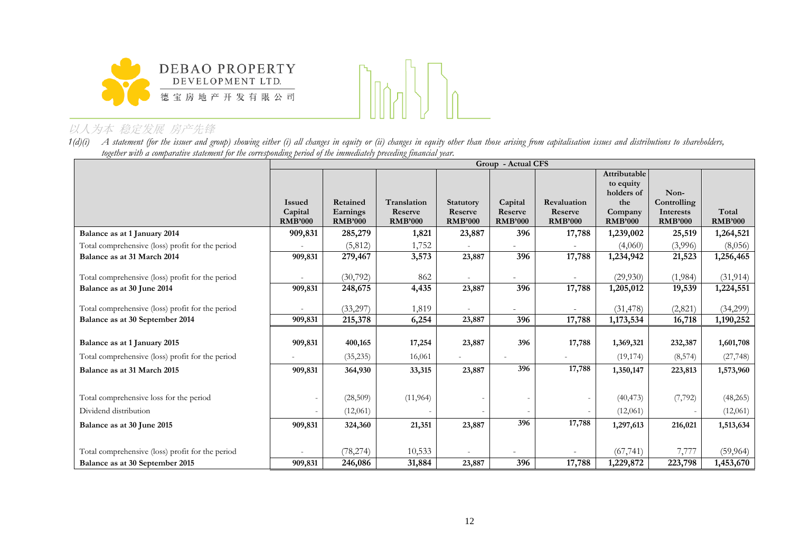



1(d)(i) A statement (for the issuer and group) showing either (i) all changes in equity or (ii) changes in equity other than those arising from capitalisation issues and distributions to shareholders, *together with a comparative statement for the corresponding period of the immediately preceding financial year.*

| Attributable<br>to equity                                                                                                                                                                                                               |                         |
|-----------------------------------------------------------------------------------------------------------------------------------------------------------------------------------------------------------------------------------------|-------------------------|
|                                                                                                                                                                                                                                         |                         |
|                                                                                                                                                                                                                                         |                         |
| holders of<br>Non-                                                                                                                                                                                                                      |                         |
| Translation<br>Controlling<br>Retained<br><b>Statutory</b><br>Capital<br>the<br>Revaluation<br><b>Issued</b>                                                                                                                            |                         |
| Earnings<br>Reserve<br>Reserve<br>Reserve<br>Capital<br>Reserve<br>Interests<br>Company<br><b>RMB'000</b><br><b>RMB'000</b><br><b>RMB'000</b><br><b>RMB'000</b><br><b>RMB'000</b><br><b>RMB'000</b><br><b>RMB'000</b><br><b>RMB'000</b> | Total<br><b>RMB'000</b> |
|                                                                                                                                                                                                                                         |                         |
| 909,831<br>285,279<br>1,821<br>23,887<br>396<br>17,788<br>1,239,002<br>Balance as at 1 January 2014<br>25,519                                                                                                                           | 1,264,521               |
| Total comprehensive (loss) profit for the period<br>(5,812)<br>1,752<br>(3,996)<br>(4,060)                                                                                                                                              | (8,056)                 |
| 23,887<br>396<br>17,788<br>Balance as at 31 March 2014<br>909,831<br>279,467<br>3,573<br>1,234,942<br>21,523                                                                                                                            | 1,256,465               |
|                                                                                                                                                                                                                                         |                         |
| Total comprehensive (loss) profit for the period<br>(30,792)<br>862<br>(29,930)<br>(1,984)                                                                                                                                              | (31, 914)               |
| 396<br>248,675<br>17,788<br>909,831<br>4,435<br>23,887<br>1,205,012<br>Balance as at 30 June 2014<br>19,539                                                                                                                             | 1,224,551               |
|                                                                                                                                                                                                                                         |                         |
| Total comprehensive (loss) profit for the period<br>(33,297)<br>(31, 478)<br>(2,821)<br>1,819                                                                                                                                           | (34,299)                |
| 215,378<br>396<br>17,788<br>909,831<br>23,887<br>1,173,534<br>16,718<br>Balance as at 30 September 2014<br>6,254                                                                                                                        | 1,190,252               |
|                                                                                                                                                                                                                                         |                         |
| 396<br>Balance as at 1 January 2015<br>909,831<br>400,165<br>17,254<br>23,887<br>17,788<br>1,369,321<br>232,387                                                                                                                         | 1,601,708               |
| Total comprehensive (loss) profit for the period<br>16,061<br>(35, 235)<br>(19, 174)<br>(8, 574)                                                                                                                                        | (27, 748)               |
| 17,788<br>396<br>909,831<br>23,887<br>Balance as at 31 March 2015<br>364,930<br>33,315<br>1,350,147<br>223,813                                                                                                                          | 1,573,960               |
|                                                                                                                                                                                                                                         |                         |
| Total comprehensive loss for the period<br>(7, 792)<br>(28,509)<br>(11, 964)<br>(40, 473)                                                                                                                                               | (48,265)                |
| Dividend distribution<br>(12,061)<br>(12,061)                                                                                                                                                                                           | (12,061)                |
| 396<br>17,788<br>909,831<br>21,351<br>23,887<br>Balance as at 30 June 2015<br>324,360<br>1,297,613<br>216,021                                                                                                                           | 1,513,634               |
|                                                                                                                                                                                                                                         |                         |
| 7,777<br>Total comprehensive (loss) profit for the period<br>(78, 274)<br>10,533<br>(67, 741)                                                                                                                                           | (59, 964)               |
| 396<br>17,788<br>Balance as at 30 September 2015<br>909,831<br>246,086<br>31,884<br>23,887<br>223,798<br>1,229,872                                                                                                                      | 1,453,670               |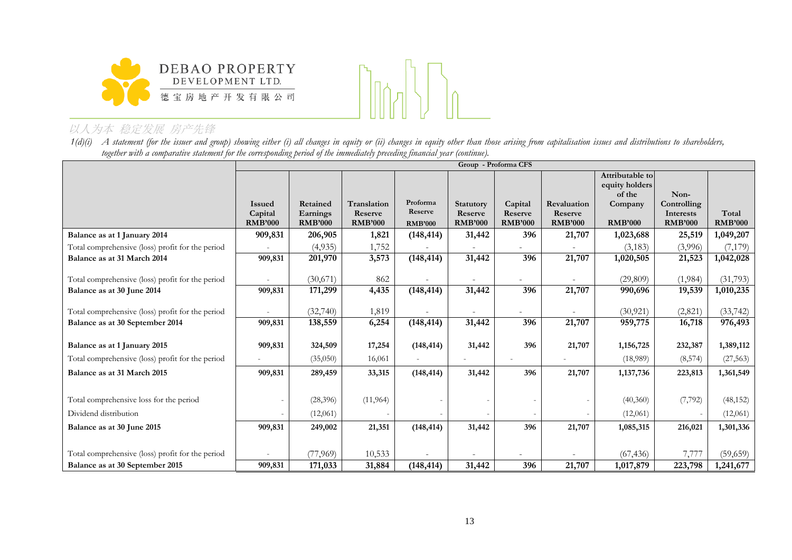



1(d)(i) A statement (for the issuer and group) showing either (i) all changes in equity or (ii) changes in equity other than those arising from capitalisation issues and distributions to shareholders, *together with a comparative statement for the corresponding period of the immediately preceding financial year (continue).*

|                                                  |                | Group - Proforma CFS |                |                |                  |                |                |                          |                |                |
|--------------------------------------------------|----------------|----------------------|----------------|----------------|------------------|----------------|----------------|--------------------------|----------------|----------------|
|                                                  |                |                      |                |                |                  |                |                | Attributable to          |                |                |
|                                                  |                |                      |                |                |                  |                |                | equity holders<br>of the | Non-           |                |
|                                                  | <b>Issued</b>  | Retained             | Translation    | Proforma       | <b>Statutory</b> | Capital        | Revaluation    | Company                  | Controlling    |                |
|                                                  | Capital        | Earnings             | Reserve        | Reserve        | Reserve          | Reserve        | Reserve        |                          | Interests      | Total          |
|                                                  | <b>RMB'000</b> | <b>RMB'000</b>       | <b>RMB'000</b> | <b>RMB'000</b> | <b>RMB'000</b>   | <b>RMB'000</b> | <b>RMB'000</b> | <b>RMB'000</b>           | <b>RMB'000</b> | <b>RMB'000</b> |
| Balance as at 1 January 2014                     | 909,831        | 206,905              | 1,821          | (148, 414)     | 31,442           | 396            | 21,707         | 1,023,688                | 25,519         | 1,049,207      |
| Total comprehensive (loss) profit for the period |                | (4,935)              | 1,752          |                |                  |                |                | (3,183)                  | (3,996)        | (7, 179)       |
| Balance as at 31 March 2014                      | 909,831        | 201,970              | 3,573          | (148, 414)     | 31,442           | 396            | 21,707         | 1,020,505                | 21,523         | 1,042,028      |
|                                                  |                |                      |                |                |                  |                |                |                          |                |                |
| Total comprehensive (loss) profit for the period |                | (30,671)             | 862            |                |                  |                |                | (29, 809)                | (1,984)        | (31,793)       |
| Balance as at 30 June 2014                       | 909,831        | 171,299              | 4,435          | (148, 414)     | 31,442           | 396            | 21,707         | 990,696                  | 19,539         | 1,010,235      |
| Total comprehensive (loss) profit for the period |                | (32,740)             | 1,819          |                |                  |                |                | (30, 921)                | (2,821)        | (33, 742)      |
| Balance as at 30 September 2014                  | 909,831        | 138,559              | 6,254          | (148, 414)     | 31,442           | 396            | 21,707         | 959,775                  | 16,718         | 976,493        |
| Balance as at 1 January 2015                     | 909,831        | 324,509              | 17,254         | (148, 414)     | 31,442           | 396            | 21,707         | 1,156,725                | 232,387        | 1,389,112      |
|                                                  |                |                      |                |                |                  |                |                |                          |                |                |
| Total comprehensive (loss) profit for the period |                | (35,050)             | 16,061         |                |                  |                |                | (18,989)                 | (8, 574)       | (27, 563)      |
| Balance as at 31 March 2015                      | 909,831        | 289,459              | 33,315         | (148, 414)     | 31,442           | 396            | 21,707         | 1,137,736                | 223,813        | 1,361,549      |
|                                                  |                |                      |                |                |                  |                |                |                          |                |                |
| Total comprehensive loss for the period          |                | (28, 396)            | (11,964)       |                |                  |                |                | (40,360)                 | (7, 792)       | (48, 152)      |
| Dividend distribution                            |                | (12,061)             |                |                |                  |                |                | (12,061)                 |                | (12,061)       |
| Balance as at 30 June 2015                       | 909,831        | 249,002              | 21,351         | (148, 414)     | 31,442           | 396            | 21,707         | 1,085,315                | 216,021        | 1,301,336      |
|                                                  |                |                      |                |                |                  |                |                |                          |                |                |
| Total comprehensive (loss) profit for the period |                | (77, 969)            | 10,533         |                |                  |                |                | (67, 436)                | 7,777          | (59, 659)      |
| Balance as at 30 September 2015                  | 909,831        | 171,033              | 31,884         | (148, 414)     | 31,442           | 396            | 21,707         | 1,017,879                | 223,798        | 1,241,677      |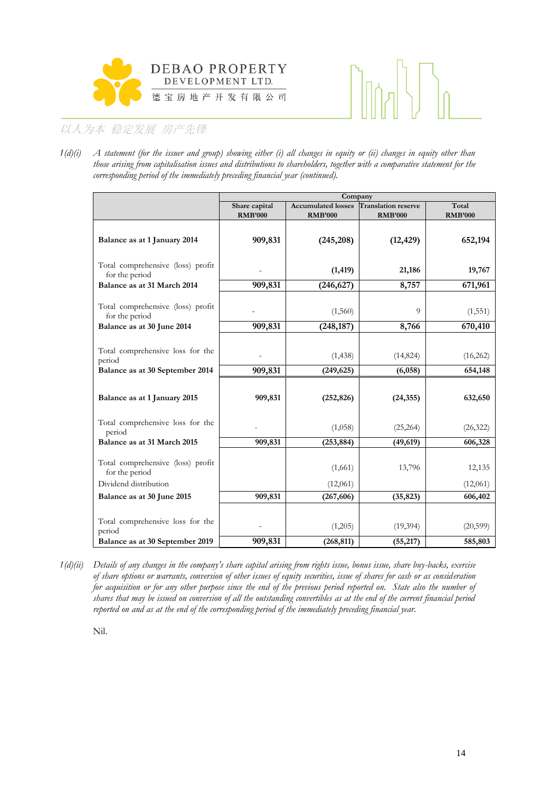



*1(d)(i) A statement (for the issuer and group) showing either (i) all changes in equity or (ii) changes in equity other than those arising from capitalisation issues and distributions to shareholders, together with a comparative statement for the corresponding period of the immediately preceding financial year (continued).*

|                                                                               | Company                         |                                             |                                              |                         |  |  |  |
|-------------------------------------------------------------------------------|---------------------------------|---------------------------------------------|----------------------------------------------|-------------------------|--|--|--|
|                                                                               | Share capital<br><b>RMB'000</b> | <b>Accumulated losses</b><br><b>RMB'000</b> | <b>Translation reserve</b><br><b>RMB'000</b> | Total<br><b>RMB'000</b> |  |  |  |
| Balance as at 1 January 2014                                                  | 909,831                         | (245, 208)                                  | (12, 429)                                    | 652,194                 |  |  |  |
| Total comprehensive (loss) profit<br>for the period                           |                                 | (1, 419)                                    | 21,186                                       | 19,767                  |  |  |  |
| Balance as at 31 March 2014                                                   | 909,831                         | (246, 627)                                  | 8,757                                        | 671,961                 |  |  |  |
| Total comprehensive (loss) profit<br>for the period                           |                                 | (1,560)                                     | 9                                            | (1, 551)                |  |  |  |
| Balance as at 30 June 2014                                                    | 909,831                         | (248, 187)                                  | 8,766                                        | 670,410                 |  |  |  |
| Total comprehensive loss for the<br>period<br>Balance as at 30 September 2014 | 909,831                         | (1, 438)<br>(249, 625)                      | (14, 824)<br>(6,058)                         | (16,262)<br>654,148     |  |  |  |
| Balance as at 1 January 2015                                                  | 909,831                         | (252, 826)                                  | (24, 355)                                    | 632,650                 |  |  |  |
| Total comprehensive loss for the<br>period                                    |                                 | (1,058)                                     | (25, 264)                                    | (26, 322)               |  |  |  |
| Balance as at 31 March 2015                                                   | 909,831                         | (253, 884)                                  | (49, 619)                                    | 606,328                 |  |  |  |
| Total comprehensive (loss) profit<br>for the period                           |                                 | (1,661)                                     | 13,796                                       | 12,135                  |  |  |  |
| Dividend distribution                                                         |                                 | (12,061)                                    |                                              | (12,061)                |  |  |  |
| Balance as at 30 June 2015                                                    | 909,831                         | (267, 606)                                  | (35, 823)                                    | 606,402                 |  |  |  |
| Total comprehensive loss for the<br>period<br>Balance as at 30 September 2019 | 909,831                         | (1,205)<br>(268, 811)                       | (19, 394)<br>(55, 217)                       | (20, 599)<br>585,803    |  |  |  |

*1(d)(ii) Details of any changes in the company's share capital arising from rights issue, bonus issue, share buy-backs, exercise of share options or warrants, conversion of other issues of equity securities, issue of shares for cash or as consideration for acquisition or for any other purpose since the end of the previous period reported on. State also the number of shares that may be issued on conversion of all the outstanding convertibles as at the end of the current financial period reported on and as at the end of the corresponding period of the immediately preceding financial year.*

Nil.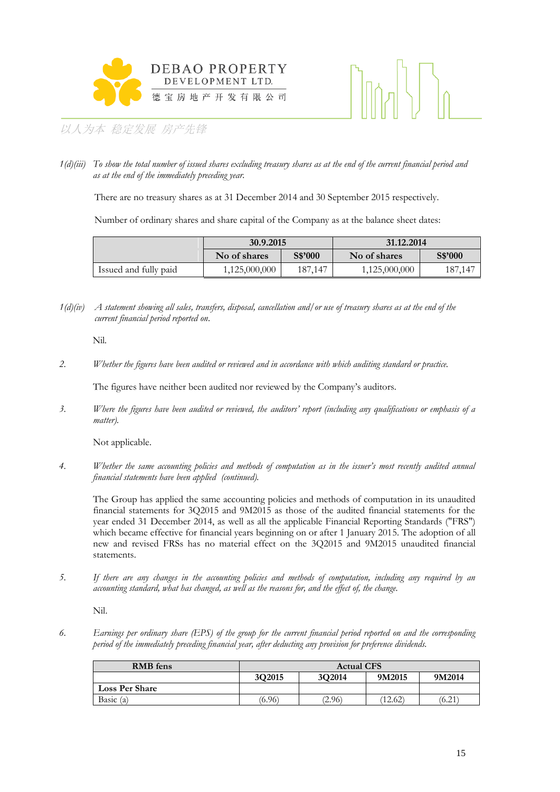



*1(d)(iii) To show the total number of issued shares excluding treasury shares as at the end of the current financial period and as at the end of the immediately preceding year.*

There are no treasury shares as at 31 December 2014 and 30 September 2015 respectively.

Number of ordinary shares and share capital of the Company as at the balance sheet dates:

|                       | 30.9.2015     |                                    | 31.12.2014    |         |  |  |
|-----------------------|---------------|------------------------------------|---------------|---------|--|--|
|                       | No of shares  | S\$'000<br>S\$'000<br>No of shares |               |         |  |  |
| Issued and fully paid | 1,125,000,000 | 187.147                            | 1,125,000,000 | 187,147 |  |  |

*1(d)(iv) A statement showing all sales, transfers, disposal, cancellation and/or use of treasury shares as at the end of the current financial period reported on*.

Nil.

*2. Whether the figures have been audited or reviewed and in accordance with which auditing standard or practice.*

The figures have neither been audited nor reviewed by the Company's auditors.

*3. Where the figures have been audited or reviewed, the auditors' report (including any qualifications or emphasis of a matter).*

Not applicable.

*4. Whether the same accounting policies and methods of computation as in the issuer's most recently audited annual financial statements have been applied (continued).*

The Group has applied the same accounting policies and methods of computation in its unaudited financial statements for 3Q2015 and 9M2015 as those of the audited financial statements for the year ended 31 December 2014, as well as all the applicable Financial Reporting Standards ("FRS") which became effective for financial years beginning on or after 1 January 2015. The adoption of all new and revised FRSs has no material effect on the 3Q2015 and 9M2015 unaudited financial statements.

*5. If there are any changes in the accounting policies and methods of computation, including any required by an accounting standard, what has changed, as well as the reasons for, and the effect of, the change.*

Nil.

*6. Earnings per ordinary share (EPS) of the group for the current financial period reported on and the corresponding period of the immediately preceding financial year, after deducting any provision for preference dividends.*

| <b>RMB</b> fens       | <b>Actual CFS</b>                    |        |         |        |  |
|-----------------------|--------------------------------------|--------|---------|--------|--|
|                       | 3O2014<br>3O2015<br>9M2015<br>9M2014 |        |         |        |  |
| <b>Loss Per Share</b> |                                      |        |         |        |  |
| Basic $(a)$           | (6.96)                               | (2.96) | (12.62) | (6.21) |  |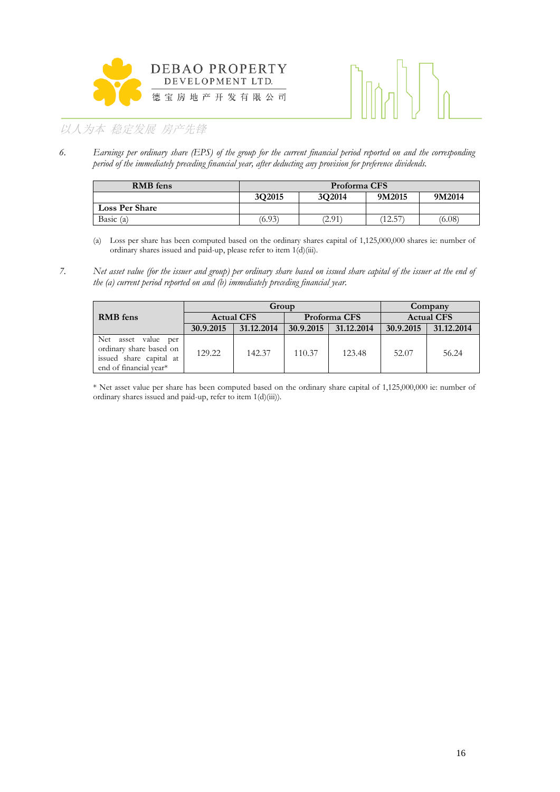



*6. Earnings per ordinary share (EPS) of the group for the current financial period reported on and the corresponding period of the immediately preceding financial year, after deducting any provision for preference dividends.*

| <b>RMB</b> fens       | Proforma CFS                         |        |       |        |  |
|-----------------------|--------------------------------------|--------|-------|--------|--|
|                       | 3Q2015<br>3O2014<br>9M2015<br>9M2014 |        |       |        |  |
| <b>Loss Per Share</b> |                                      |        |       |        |  |
| Basic $(a)$           | (6.93)                               | (2.91) | 12.57 | (6.08) |  |

(a) Loss per share has been computed based on the ordinary shares capital of 1,125,000,000 shares ie: number of ordinary shares issued and paid-up, please refer to item 1(d)(iii).

*7. Net asset value (for the issuer and group) per ordinary share based on issued share capital of the issuer at the end of the (a) current period reported on and (b) immediately preceding financial year.*

|                                                                                                     | Group     |                   |              |            | Company           |            |
|-----------------------------------------------------------------------------------------------------|-----------|-------------------|--------------|------------|-------------------|------------|
| <b>RMB</b> fens                                                                                     |           | <b>Actual CFS</b> | Proforma CFS |            | <b>Actual CFS</b> |            |
|                                                                                                     | 30.9.2015 | 31.12.2014        | 30.9.2015    | 31.12.2014 | 30.9.2015         | 31.12.2014 |
| Net asset value per<br>ordinary share based on<br>issued share capital at<br>end of financial year* | 129.22    | 142.37            | 110.37       | 123.48     | 52.07             | 56.24      |

\* Net asset value per share has been computed based on the ordinary share capital of 1,125,000,000 ie: number of ordinary shares issued and paid-up, refer to item 1(d)(iii)).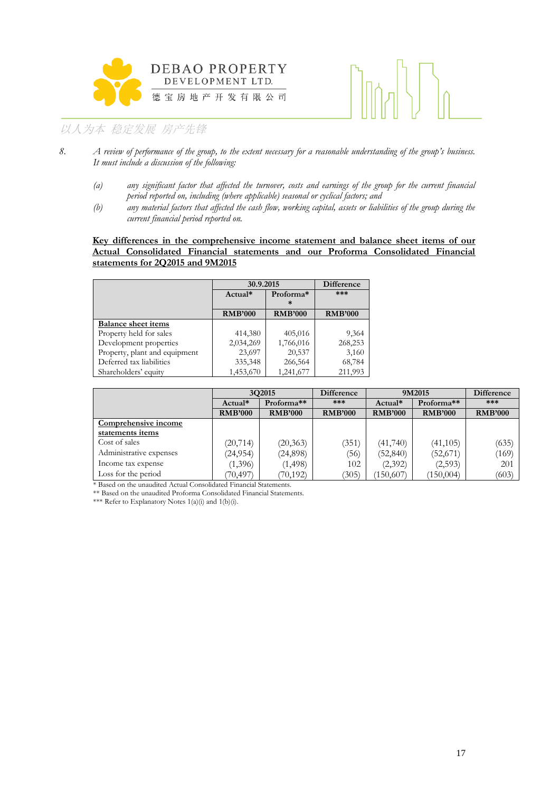



- *8. A review of performance of the group, to the extent necessary for a reasonable understanding of the group's business. It must include a discussion of the following:*
	- *(a) any significant factor that affected the turnover, costs and earnings of the group for the current financial period reported on, including (where applicable) seasonal or cyclical factors; and*
	- *(b) any material factors that affected the cash flow, working capital, assets or liabilities of the group during the current financial period reported on.*

### **Key differences in the comprehensive income statement and balance sheet items of our Actual Consolidated Financial statements and our Proforma Consolidated Financial statements for 2Q2015 and 9M2015**

|                               |                | 30.9.2015           |                |  |
|-------------------------------|----------------|---------------------|----------------|--|
|                               | $Actual*$      | Proforma*<br>$\ast$ | ***            |  |
|                               | <b>RMB'000</b> | <b>RMB'000</b>      | <b>RMB'000</b> |  |
| <b>Balance sheet items</b>    |                |                     |                |  |
| Property held for sales       | 414,380        | 405,016             | 9,364          |  |
| Development properties        | 2,034,269      | 1,766,016           | 268,253        |  |
| Property, plant and equipment | 23,697         | 20,537              | 3,160          |  |
| Deferred tax liabilities      | 335,348        | 266,564             | 68,784         |  |
| Shareholders' equity          | 1,453,670      | 1,241,677           | 211,993        |  |

|                         | 3Q2015         |                | <b>Difference</b><br>9M2015 |                |                | <b>Difference</b> |
|-------------------------|----------------|----------------|-----------------------------|----------------|----------------|-------------------|
|                         | Actual*        | Proforma**     | ***                         | $Actual*$      | Proforma**     | $***$             |
|                         | <b>RMB'000</b> | <b>RMB'000</b> | <b>RMB'000</b>              | <b>RMB'000</b> | <b>RMB'000</b> | <b>RMB'000</b>    |
| Comprehensive income    |                |                |                             |                |                |                   |
| statements items        |                |                |                             |                |                |                   |
| Cost of sales           | (20, 714)      | (20, 363)      | (351)                       | (41,740)       | (41, 105)      | (635)             |
| Administrative expenses | (24, 954)      | (24,898)       | 36)                         | (52, 840)      | (52,671)       | (169)             |
| Income tax expense      | (1,396)        | (1, 498)       | 102                         | (2,392)        | (2, 593)       | 201               |
| Loss for the period     | (70, 497)      | (70, 192)      | (305)                       | (150,607)      | (150,004)      | (603)             |

\* Based on the unaudited Actual Consolidated Financial Statements.

\*\* Based on the unaudited Proforma Consolidated Financial Statements.

\*\*\* Refer to Explanatory Notes  $1(a)(i)$  and  $1(b)(i)$ .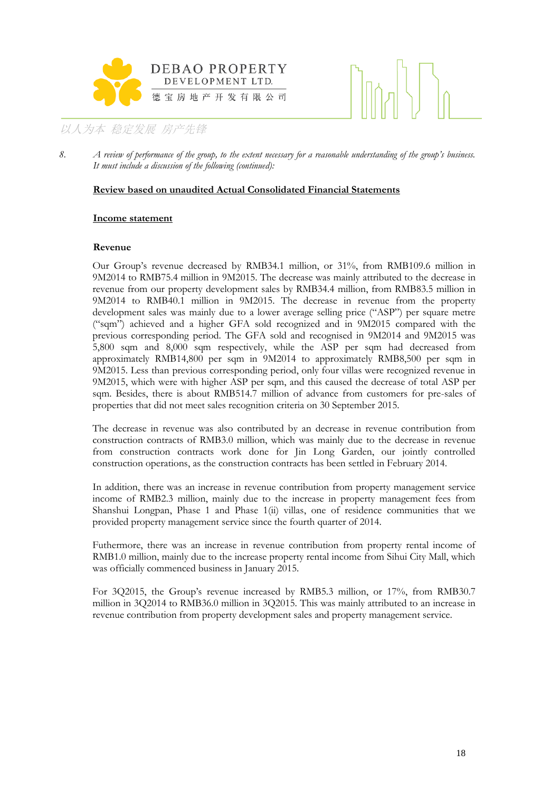



8. *A review of performance of the group, to the extent necessary for a reasonable understanding of the group's business. It must include a discussion of the following (continued):*

# **Review based on unaudited Actual Consolidated Financial Statements**

### **Income statement**

### **Revenue**

Our Group's revenue decreased by RMB34.1 million, or 31%, from RMB109.6 million in 9M2014 to RMB75.4 million in 9M2015. The decrease was mainly attributed to the decrease in revenue from our property development sales by RMB34.4 million, from RMB83.5 million in 9M2014 to RMB40.1 million in 9M2015. The decrease in revenue from the property development sales was mainly due to a lower average selling price ("ASP") per square metre ("sqm") achieved and a higher GFA sold recognized and in 9M2015 compared with the previous corresponding period. The GFA sold and recognised in 9M2014 and 9M2015 was 5,800 sqm and 8,000 sqm respectively, while the ASP per sqm had decreased from approximately RMB14,800 per sqm in 9M2014 to approximately RMB8,500 per sqm in 9M2015. Less than previous corresponding period, only four villas were recognized revenue in 9M2015, which were with higher ASP per sqm, and this caused the decrease of total ASP per sqm. Besides, there is about RMB514.7 million of advance from customers for pre-sales of properties that did not meet sales recognition criteria on 30 September 2015.

The decrease in revenue was also contributed by an decrease in revenue contribution from construction contracts of RMB3.0 million, which was mainly due to the decrease in revenue from construction contracts work done for Jin Long Garden, our jointly controlled construction operations, as the construction contracts has been settled in February 2014.

In addition, there was an increase in revenue contribution from property management service income of RMB2.3 million, mainly due to the increase in property management fees from Shanshui Longpan, Phase 1 and Phase 1(ii) villas, one of residence communities that we provided property management service since the fourth quarter of 2014.

Futhermore, there was an increase in revenue contribution from property rental income of RMB1.0 million, mainly due to the increase property rental income from Sihui City Mall, which was officially commenced business in January 2015.

For 3Q2015, the Group's revenue increased by RMB5.3 million, or 17%, from RMB30.7 million in 3Q2014 to RMB36.0 million in 3Q2015. This was mainly attributed to an increase in revenue contribution from property development sales and property management service.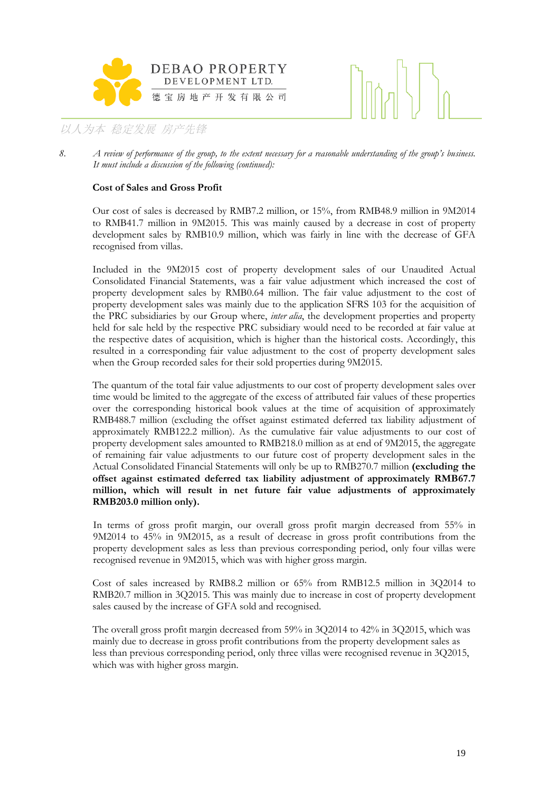



### **Cost of Sales and Gross Profit**

Our cost of sales is decreased by RMB7.2 million, or 15%, from RMB48.9 million in 9M2014 to RMB41.7 million in 9M2015. This was mainly caused by a decrease in cost of property development sales by RMB10.9 million, which was fairly in line with the decrease of GFA recognised from villas.

Included in the 9M2015 cost of property development sales of our Unaudited Actual Consolidated Financial Statements, was a fair value adjustment which increased the cost of property development sales by RMB0.64 million. The fair value adjustment to the cost of property development sales was mainly due to the application SFRS 103 for the acquisition of the PRC subsidiaries by our Group where, *inter alia*, the development properties and property held for sale held by the respective PRC subsidiary would need to be recorded at fair value at the respective dates of acquisition, which is higher than the historical costs. Accordingly, this resulted in a corresponding fair value adjustment to the cost of property development sales when the Group recorded sales for their sold properties during 9M2015.

The quantum of the total fair value adjustments to our cost of property development sales over time would be limited to the aggregate of the excess of attributed fair values of these properties over the corresponding historical book values at the time of acquisition of approximately RMB488.7 million (excluding the offset against estimated deferred tax liability adjustment of approximately RMB122.2 million). As the cumulative fair value adjustments to our cost of property development sales amounted to RMB218.0 million as at end of 9M2015, the aggregate of remaining fair value adjustments to our future cost of property development sales in the Actual Consolidated Financial Statements will only be up to RMB270.7 million **(excluding the offset against estimated deferred tax liability adjustment of approximately RMB67.7 million, which will result in net future fair value adjustments of approximately RMB203.0 million only).**

In terms of gross profit margin, our overall gross profit margin decreased from 55% in 9M2014 to 45% in 9M2015, as a result of decrease in gross profit contributions from the property development sales as less than previous corresponding period, only four villas were recognised revenue in 9M2015, which was with higher gross margin.

Cost of sales increased by RMB8.2 million or 65% from RMB12.5 million in 3Q2014 to RMB20.7 million in 3Q2015. This was mainly due to increase in cost of property development sales caused by the increase of GFA sold and recognised.

The overall gross profit margin decreased from 59% in 3Q2014 to 42% in 3Q2015, which was mainly due to decrease in gross profit contributions from the property development sales as less than previous corresponding period, only three villas were recognised revenue in 3Q2015, which was with higher gross margin.

<sup>8.</sup> *A review of performance of the group, to the extent necessary for a reasonable understanding of the group's business. It must include a discussion of the following (continued):*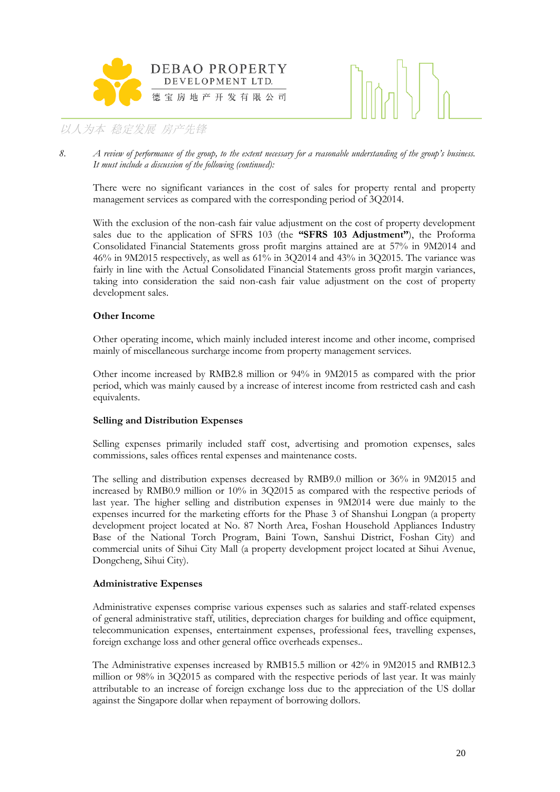



*8. A review of performance of the group, to the extent necessary for a reasonable understanding of the group's business. It must include a discussion of the following (continued):*

There were no significant variances in the cost of sales for property rental and property management services as compared with the corresponding period of 3Q2014.

With the exclusion of the non-cash fair value adjustment on the cost of property development sales due to the application of SFRS 103 (the **"SFRS 103 Adjustment"**), the Proforma Consolidated Financial Statements gross profit margins attained are at 57% in 9M2014 and 46% in 9M2015 respectively, as well as 61% in 3Q2014 and 43% in 3Q2015. The variance was fairly in line with the Actual Consolidated Financial Statements gross profit margin variances, taking into consideration the said non-cash fair value adjustment on the cost of property development sales.

# **Other Income**

Other operating income, which mainly included interest income and other income, comprised mainly of miscellaneous surcharge income from property management services.

Other income increased by RMB2.8 million or 94% in 9M2015 as compared with the prior period, which was mainly caused by a increase of interest income from restricted cash and cash equivalents.

# **Selling and Distribution Expenses**

Selling expenses primarily included staff cost, advertising and promotion expenses, sales commissions, sales offices rental expenses and maintenance costs.

The selling and distribution expenses decreased by RMB9.0 million or 36% in 9M2015 and increased by RMB0.9 million or 10% in 3Q2015 as compared with the respective periods of last year. The higher selling and distribution expenses in 9M2014 were due mainly to the expenses incurred for the marketing efforts for the Phase 3 of Shanshui Longpan (a property development project located at No. 87 North Area, Foshan Household Appliances Industry Base of the National Torch Program, Baini Town, Sanshui District, Foshan City) and commercial units of Sihui City Mall (a property development project located at Sihui Avenue, Dongcheng, Sihui City).

# **Administrative Expenses**

Administrative expenses comprise various expenses such as salaries and staff-related expenses of general administrative staff, utilities, depreciation charges for building and office equipment, telecommunication expenses, entertainment expenses, professional fees, travelling expenses, foreign exchange loss and other general office overheads expenses..

The Administrative expenses increased by RMB15.5 million or 42% in 9M2015 and RMB12.3 million or 98% in 3Q2015 as compared with the respective periods of last year. It was mainly attributable to an increase of foreign exchange loss due to the appreciation of the US dollar against the Singapore dollar when repayment of borrowing dollors.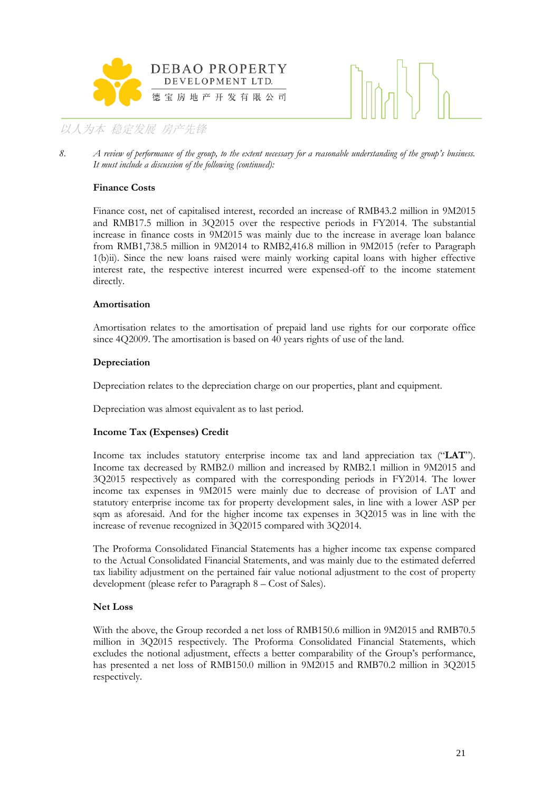



8. *A review of performance of the group, to the extent necessary for a reasonable understanding of the group's business. It must include a discussion of the following (continued):*

# **Finance Costs**

Finance cost, net of capitalised interest, recorded an increase of RMB43.2 million in 9M2015 and RMB17.5 million in 3Q2015 over the respective periods in FY2014. The substantial increase in finance costs in 9M2015 was mainly due to the increase in average loan balance from RMB1,738.5 million in 9M2014 to RMB2,416.8 million in 9M2015 (refer to Paragraph 1(b)ii). Since the new loans raised were mainly working capital loans with higher effective interest rate, the respective interest incurred were expensed-off to the income statement directly.

# **Amortisation**

Amortisation relates to the amortisation of prepaid land use rights for our corporate office since 4Q2009. The amortisation is based on 40 years rights of use of the land.

# **Depreciation**

Depreciation relates to the depreciation charge on our properties, plant and equipment.

Depreciation was almost equivalent as to last period.

# **Income Tax (Expenses) Credit**

Income tax includes statutory enterprise income tax and land appreciation tax ("**LAT**"). Income tax decreased by RMB2.0 million and increased by RMB2.1 million in 9M2015 and 3Q2015 respectively as compared with the corresponding periods in FY2014. The lower income tax expenses in 9M2015 were mainly due to decrease of provision of LAT and statutory enterprise income tax for property development sales, in line with a lower ASP per sqm as aforesaid. And for the higher income tax expenses in 3Q2015 was in line with the increase of revenue recognized in 3Q2015 compared with 3Q2014.

The Proforma Consolidated Financial Statements has a higher income tax expense compared to the Actual Consolidated Financial Statements, and was mainly due to the estimated deferred tax liability adjustment on the pertained fair value notional adjustment to the cost of property development (please refer to Paragraph 8 – Cost of Sales).

# **Net Loss**

With the above, the Group recorded a net loss of RMB150.6 million in 9M2015 and RMB70.5 million in 3Q2015 respectively. The Proforma Consolidated Financial Statements, which excludes the notional adjustment, effects a better comparability of the Group's performance, has presented a net loss of RMB150.0 million in 9M2015 and RMB70.2 million in 3Q2015 respectively.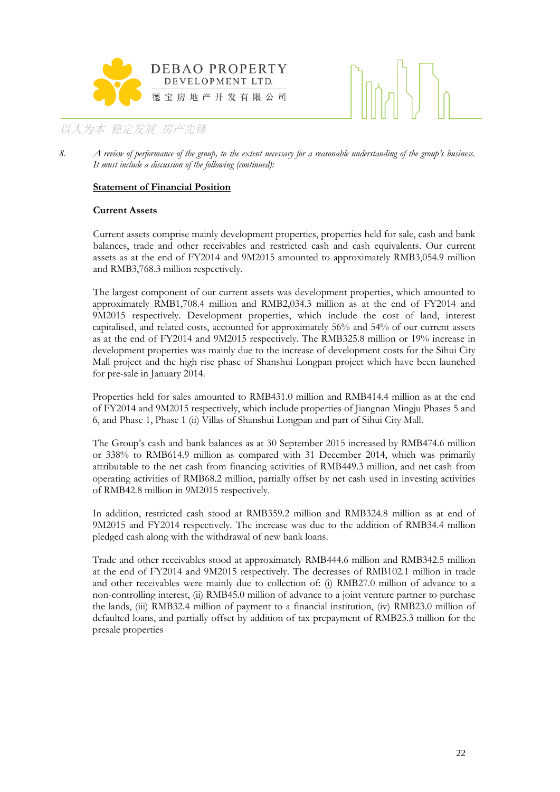



# **Statement of Financial Position**

# **Current Assets**

Current assets comprise mainly development properties, properties held for sale, cash and bank balances, trade and other receivables and restricted cash and cash equivalents. Our current assets as at the end of FY2014 and 9M2015 amounted to approximately RMB3,054.9 million and RMB3,768.3 million respectively.

The largest component of our current assets was development properties, which amounted to approximately RMB1,708.4 million and RMB2,034.3 million as at the end of FY2014 and 9M2015 respectively. Development properties, which include the cost of land, interest capitalised, and related costs, accounted for approximately 56% and 54% of our current assets as at the end of FY2014 and 9M2015 respectively. The RMB325.8 million or 19% increase in development properties was mainly due to the increase of development costs for the Sihui City Mall project and the high rise phase of Shanshui Longpan project which have been launched for pre-sale in January 2014.

Properties held for sales amounted to RMB431.0 million and RMB414.4 million as at the end of FY2014 and 9M2015 respectively, which include properties of Jiangnan Mingju Phases 5 and 6, and Phase 1, Phase 1 (ii) Villas of Shanshui Longpan and part of Sihui City Mall.

The Group's cash and bank balances as at 30 September 2015 increased by RMB474.6 million or 338% to RMB614.9 million as compared with 31 December 2014, which was primarily attributable to the net cash from financing activities of RMB449.3 million, and net cash from operating activities of RMB68.2 million, partially offset by net cash used in investing activities of RMB42.8 million in 9M2015 respectively.

In addition, restricted cash stood at RMB359.2 million and RMB324.8 million as at end of 9M2015 and FY2014 respectively. The increase was due to the addition of RMB34.4 million pledged cash along with the withdrawal of new bank loans.

Trade and other receivables stood at approximately RMB444.6 million and RMB342.5 million at the end of FY2014 and 9M2015 respectively. The decreases of RMB102.1 million in trade and other receivables were mainly due to collection of: (i) RMB27.0 million of advance to a non-controlling interest, (ii) RMB45.0 million of advance to a joint venture partner to purchase the lands, (iii) RMB32.4 million of payment to a financial institution, (iv) RMB23.0 million of defaulted loans, and partially offset by addition of tax prepayment of RMB25.3 million for the presale properties

<sup>8.</sup> *A review of performance of the group, to the extent necessary for a reasonable understanding of the group's business. It must include a discussion of the following (continued):*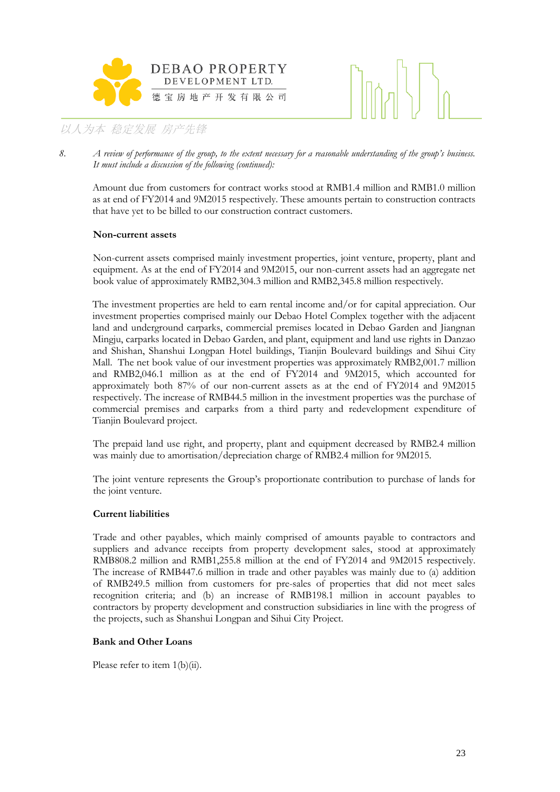



8. *A review of performance of the group, to the extent necessary for a reasonable understanding of the group's business. It must include a discussion of the following (continued):*

Amount due from customers for contract works stood at RMB1.4 million and RMB1.0 million as at end of FY2014 and 9M2015 respectively. These amounts pertain to construction contracts that have yet to be billed to our construction contract customers.

# **Non-current assets**

Non-current assets comprised mainly investment properties, joint venture, property, plant and equipment. As at the end of FY2014 and 9M2015, our non-current assets had an aggregate net book value of approximately RMB2,304.3 million and RMB2,345.8 million respectively.

The investment properties are held to earn rental income and/or for capital appreciation. Our investment properties comprised mainly our Debao Hotel Complex together with the adjacent land and underground carparks, commercial premises located in Debao Garden and Jiangnan Mingju, carparks located in Debao Garden, and plant, equipment and land use rights in Danzao and Shishan, Shanshui Longpan Hotel buildings, Tianjin Boulevard buildings and Sihui City Mall. The net book value of our investment properties was approximately RMB2,001.7 million and RMB2,046.1 million as at the end of FY2014 and 9M2015, which accounted for approximately both 87% of our non-current assets as at the end of FY2014 and 9M2015 respectively. The increase of RMB44.5 million in the investment properties was the purchase of commercial premises and carparks from a third party and redevelopment expenditure of Tianjin Boulevard project.

The prepaid land use right, and property, plant and equipment decreased by RMB2.4 million was mainly due to amortisation/depreciation charge of RMB2.4 million for 9M2015.

The joint venture represents the Group's proportionate contribution to purchase of lands for the joint venture.

# **Current liabilities**

Trade and other payables, which mainly comprised of amounts payable to contractors and suppliers and advance receipts from property development sales, stood at approximately RMB808.2 million and RMB1,255.8 million at the end of FY2014 and 9M2015 respectively. The increase of RMB447.6 million in trade and other payables was mainly due to (a) addition of RMB249.5 million from customers for pre-sales of properties that did not meet sales recognition criteria; and (b) an increase of RMB198.1 million in account payables to contractors by property development and construction subsidiaries in line with the progress of the projects, such as Shanshui Longpan and Sihui City Project.

# **Bank and Other Loans**

Please refer to item 1(b)(ii).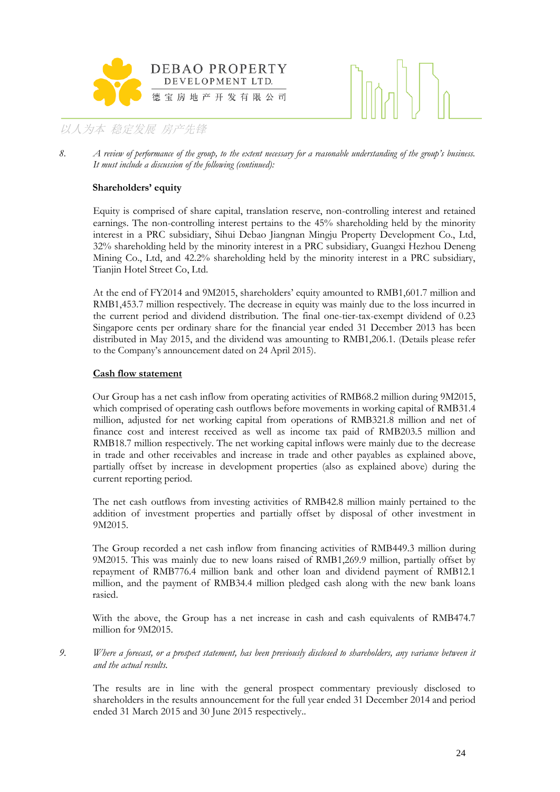



8. *A review of performance of the group, to the extent necessary for a reasonable understanding of the group's business. It must include a discussion of the following (continued):*

# **Shareholders' equity**

Equity is comprised of share capital, translation reserve, non-controlling interest and retained earnings. The non-controlling interest pertains to the 45% shareholding held by the minority interest in a PRC subsidiary, Sihui Debao Jiangnan Mingju Property Development Co., Ltd, 32% shareholding held by the minority interest in a PRC subsidiary, Guangxi Hezhou Deneng Mining Co., Ltd, and 42.2% shareholding held by the minority interest in a PRC subsidiary, Tianjin Hotel Street Co, Ltd.

At the end of FY2014 and 9M2015, shareholders' equity amounted to RMB1,601.7 million and RMB1,453.7 million respectively. The decrease in equity was mainly due to the loss incurred in the current period and dividend distribution. The final one-tier-tax-exempt dividend of 0.23 Singapore cents per ordinary share for the financial year ended 31 December 2013 has been distributed in May 2015, and the dividend was amounting to RMB1,206.1. (Details please refer to the Company's announcement dated on 24 April 2015).

# **Cash flow statement**

Our Group has a net cash inflow from operating activities of RMB68.2 million during 9M2015, which comprised of operating cash outflows before movements in working capital of RMB31.4 million, adjusted for net working capital from operations of RMB321.8 million and net of finance cost and interest received as well as income tax paid of RMB203.5 million and RMB18.7 million respectively. The net working capital inflows were mainly due to the decrease in trade and other receivables and increase in trade and other payables as explained above, partially offset by increase in development properties (also as explained above) during the current reporting period.

The net cash outflows from investing activities of RMB42.8 million mainly pertained to the addition of investment properties and partially offset by disposal of other investment in 9M2015.

The Group recorded a net cash inflow from financing activities of RMB449.3 million during 9M2015. This was mainly due to new loans raised of RMB1,269.9 million, partially offset by repayment of RMB776.4 million bank and other loan and dividend payment of RMB12.1 million, and the payment of RMB34.4 million pledged cash along with the new bank loans rasied.

With the above, the Group has a net increase in cash and cash equivalents of RMB474.7 million for 9M2015.

*9. Where a forecast, or a prospect statement, has been previously disclosed to shareholders, any variance between it and the actual results.*

The results are in line with the general prospect commentary previously disclosed to shareholders in the results announcement for the full year ended 31 December 2014 and period ended 31 March 2015 and 30 June 2015 respectively..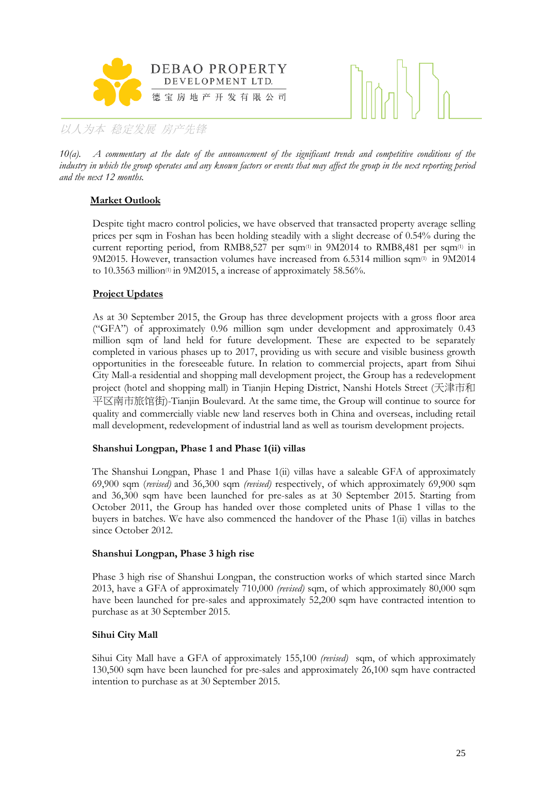



*10(a). A commentary at the date of the announcement of the significant trends and competitive conditions of the industry in which the group operates and any known factors or events that may affect the group in the next reporting period and the next 12 months.*

# **Market Outlook**

Despite tight macro control policies, we have observed that transacted property average selling prices per sqm in Foshan has been holding steadily with a slight decrease of 0.54% during the current reporting period, from RMB8,527 per sqm(1) in 9M2014 to RMB8,481 per sqm(1) in 9M2015. However, transaction volumes have increased from 6.5314 million sqm(1) in 9M2014 to 10.3563 million<sup>(1)</sup> in 9M2015, a increase of approximately 58.56%.

# **Project Updates**

As at 30 September 2015, the Group has three development projects with a gross floor area ("GFA") of approximately 0.96 million sqm under development and approximately 0.43 million sqm of land held for future development. These are expected to be separately completed in various phases up to 2017, providing us with secure and visible business growth opportunities in the foreseeable future. In relation to commercial projects, apart from Sihui City Mall-a residential and shopping mall development project, the Group has a redevelopment project (hotel and shopping mall) in Tianjin Heping District, Nanshi Hotels Street (天津市和 平区南市旅馆街)-Tianjin Boulevard. At the same time, the Group will continue to source for quality and commercially viable new land reserves both in China and overseas, including retail mall development, redevelopment of industrial land as well as tourism development projects.

# **Shanshui Longpan, Phase 1 and Phase 1(ii) villas**

The Shanshui Longpan, Phase 1 and Phase 1(ii) villas have a saleable GFA of approximately 69,900 sqm (*revised)* and 36,300 sqm *(revised)* respectively, of which approximately 69,900 sqm and 36,300 sqm have been launched for pre-sales as at 30 September 2015. Starting from October 2011, the Group has handed over those completed units of Phase 1 villas to the buyers in batches. We have also commenced the handover of the Phase 1(ii) villas in batches since October 2012.

# **Shanshui Longpan, Phase 3 high rise**

Phase 3 high rise of Shanshui Longpan, the construction works of which started since March 2013, have a GFA of approximately 710,000 *(revised)* sqm, of which approximately 80,000 sqm have been launched for pre-sales and approximately 52,200 sqm have contracted intention to purchase as at 30 September 2015.

# **Sihui City Mall**

Sihui City Mall have a GFA of approximately 155,100 *(revised)* sqm, of which approximately 130,500 sqm have been launched for pre-sales and approximately 26,100 sqm have contracted intention to purchase as at 30 September 2015.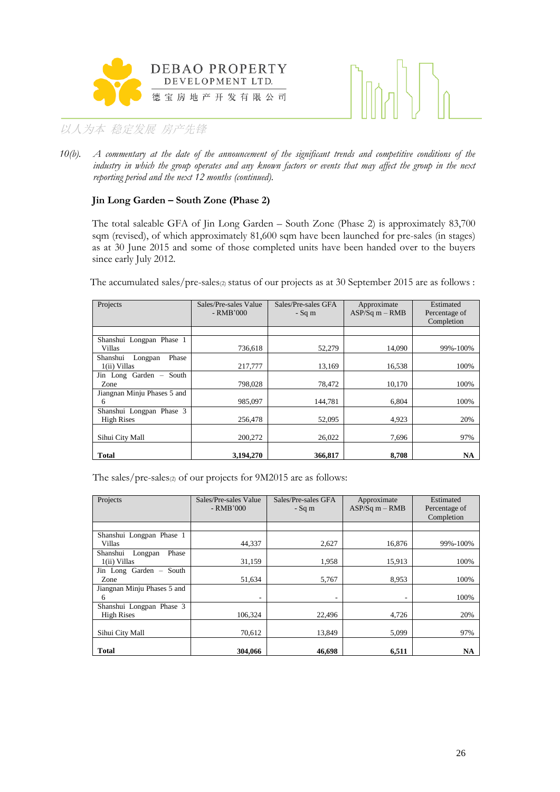



*10(b). A commentary at the date of the announcement of the significant trends and competitive conditions of the industry in which the group operates and any known factors or events that may affect the group in the next reporting period and the next 12 months (continued).*

# **Jin Long Garden – South Zone (Phase 2)**

The total saleable GFA of Jin Long Garden – South Zone (Phase 2) is approximately 83,700 sqm (revised), of which approximately 81,600 sqm have been launched for pre-sales (in stages) as at 30 June 2015 and some of those completed units have been handed over to the buyers since early July 2012.

The accumulated sales/pre-sales<sup>(2)</sup> status of our projects as at 30 September 2015 are as follows :

| Projects                                      | Sales/Pre-sales Value<br>- RMB'000 | Sales/Pre-sales GFA<br>- Sq m | Approximate<br>$ASP/Sq m - RMB$ | Estimated<br>Percentage of<br>Completion |
|-----------------------------------------------|------------------------------------|-------------------------------|---------------------------------|------------------------------------------|
|                                               |                                    |                               |                                 |                                          |
| Shanshui Longpan Phase 1<br>Villas            | 736.618                            | 52,279                        | 14,090                          | 99%-100%                                 |
| Phase<br>Shanshui<br>Longpan<br>1(ii) Villas  | 217,777                            | 13,169                        | 16,538                          | 100%                                     |
| Jin Long Garden - South<br>Zone               | 798,028                            | 78,472                        | 10,170                          | 100%                                     |
| Jiangnan Minju Phases 5 and<br>6              | 985,097                            | 144,781                       | 6.804                           | 100%                                     |
| Shanshui Longpan Phase 3<br><b>High Rises</b> | 256,478                            | 52,095                        | 4,923                           | 20%                                      |
| Sihui City Mall                               | 200,272                            | 26,022                        | 7,696                           | 97%                                      |
| <b>Total</b>                                  | 3,194,270                          | 366,817                       | 8,708                           | NA                                       |

The sales/pre-sales(2) of our projects for 9M2015 are as follows:

| Projects                                      | Sales/Pre-sales Value<br>- RMB'000 | Sales/Pre-sales GFA<br>$-Sq$ m | Approximate<br>$ASP/Sq m - RMB$ | Estimated<br>Percentage of<br>Completion |
|-----------------------------------------------|------------------------------------|--------------------------------|---------------------------------|------------------------------------------|
|                                               |                                    |                                |                                 |                                          |
| Shanshui Longpan Phase 1<br>Villas            | 44,337                             | 2,627                          | 16,876                          | 99%-100%                                 |
| Phase<br>Shanshui<br>Longpan<br>1(ii) Villas  | 31,159                             | 1,958                          | 15,913                          | 100%                                     |
| Jin Long Garden - South<br>Zone               | 51,634                             | 5,767                          | 8,953                           | 100%                                     |
| Jiangnan Minju Phases 5 and<br>6              | ٠                                  | ٠                              | ۰                               | 100%                                     |
| Shanshui Longpan Phase 3<br><b>High Rises</b> | 106,324                            | 22,496                         | 4,726                           | 20%                                      |
| Sihui City Mall                               | 70.612                             | 13.849                         | 5.099                           | 97%                                      |
| Total                                         | 304,066                            | 46,698                         | 6,511                           | NA                                       |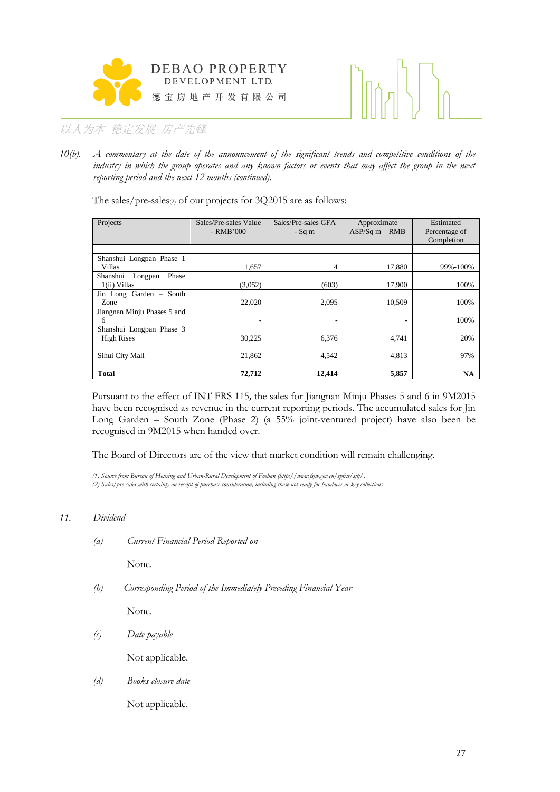



*10(b). A commentary at the date of the announcement of the significant trends and competitive conditions of the industry in which the group operates and any known factors or events that may affect the group in the next reporting period and the next 12 months (continued).*

The sales/pre-sales $(z)$  of our projects for 3Q2015 are as follows:

| Projects                                      | Sales/Pre-sales Value<br>$-RMB'000$ | Sales/Pre-sales GFA<br>$-Sq$ m | Approximate<br>$ASP/Sq m - RMB$ | Estimated<br>Percentage of<br>Completion |
|-----------------------------------------------|-------------------------------------|--------------------------------|---------------------------------|------------------------------------------|
|                                               |                                     |                                |                                 |                                          |
| Shanshui Longpan Phase 1<br>Villas            | 1,657                               | 4                              | 17,880                          | 99%-100%                                 |
| Shanshui<br>Phase<br>Longpan<br>1(ii) Villas  | (3,052)                             | (603)                          | 17.900                          | 100%                                     |
| Jin Long Garden - South<br>Zone               | 22,020                              | 2,095                          | 10.509                          | 100%                                     |
| Jiangnan Minju Phases 5 and<br>6              | $\overline{\phantom{a}}$            | ٠                              | ۰                               | 100%                                     |
| Shanshui Longpan Phase 3<br><b>High Rises</b> | 30,225                              | 6.376                          | 4,741                           | 20%                                      |
| Sihui City Mall                               | 21,862                              | 4,542                          | 4,813                           | 97%                                      |
| Total                                         | 72,712                              | 12,414                         | 5,857                           | NA                                       |

Pursuant to the effect of INT FRS 115*,* the sales for Jiangnan Minju Phases 5 and 6 in 9M2015 have been recognised as revenue in the current reporting periods. The accumulated sales for Jin Long Garden – South Zone (Phase 2) (a 55% joint-ventured project) have also been be recognised in 9M2015 when handed over.

The Board of Directors are of the view that market condition will remain challenging.

*(1) Source from Bureau of Housing and Urban-Rural Development of Foshan (http://www.fsjw.gov.cn/spfxs/sjtj/) (2) Sales/pre-sales with certainty on receipt of purchase consideration, including those not ready for handover or key collections*

# *11. Dividend*

*(a) Current Financial Period Reported on*

None.

*(b) Corresponding Period of the Immediately Preceding Financial Year*

None.

*(c) Date payable*

Not applicable.

*(d) Books closure date*

Not applicable.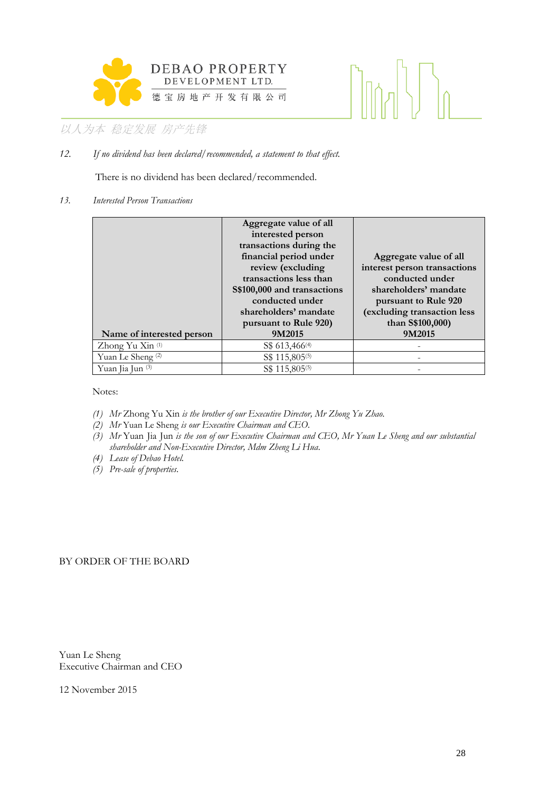

# $\left[\left|\left|\left|\left|\right\rangle\right|\right|\right]\right]$

# 以人为本 稳定发展 房产先锋

*12. If no dividend has been declared/recommended, a statement to that effect.*

There is no dividend has been declared/recommended.

### *13. Interested Person Transactions*

| Name of interested person    | Aggregate value of all<br>interested person<br>transactions during the<br>financial period under<br>review (excluding<br>transactions less than<br>S\$100,000 and transactions<br>conducted under<br>shareholders' mandate<br>pursuant to Rule 920)<br>9M2015 | Aggregate value of all<br>interest person transactions<br>conducted under<br>shareholders' mandate<br>pursuant to Rule 920<br>(excluding transaction less<br>than S\$100,000)<br>9M2015 |
|------------------------------|---------------------------------------------------------------------------------------------------------------------------------------------------------------------------------------------------------------------------------------------------------------|-----------------------------------------------------------------------------------------------------------------------------------------------------------------------------------------|
| Zhong Yu Xin (1)             | S\$ 613,466 <sup>(4)</sup>                                                                                                                                                                                                                                    |                                                                                                                                                                                         |
| Yuan Le Sheng <sup>(2)</sup> | S\$ 115,805 <sup>(5)</sup>                                                                                                                                                                                                                                    |                                                                                                                                                                                         |
| Yuan Jia Jun (3)             | S\$ 115,805 <sup>(5)</sup>                                                                                                                                                                                                                                    |                                                                                                                                                                                         |

Notes:

- *(1) Mr* Zhong Yu Xin *is the brother of our Executive Director, Mr Zhong Yu Zhao.*
- *(2) Mr* Yuan Le Sheng *is our Executive Chairman and CEO.*
- *(3) Mr* Yuan Jia Jun *is the son of our Executive Chairman and CEO, Mr Yuan Le Sheng and our substantial shareholder and Non-Executive Director, Mdm Zheng Li Hua.*
- *(4) Lease of Debao Hotel.*
- *(5) Pre-sale of properties.*

# BY ORDER OF THE BOARD

Yuan Le Sheng Executive Chairman and CEO

12 November 2015